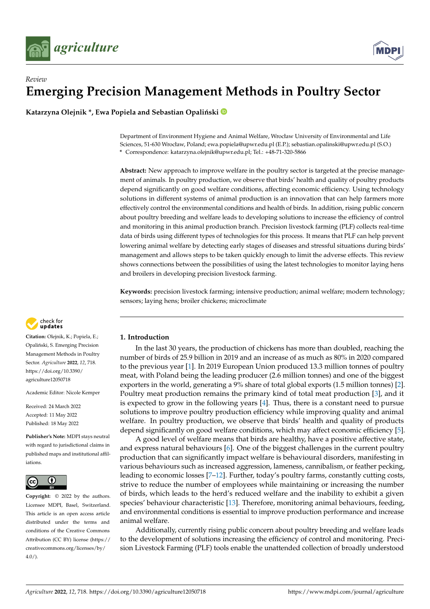



# *Review* **Emerging Precision Management Methods in Poultry Sector**

Katarzyna Olejnik \*, Ewa Popiela and Sebastian Opaliński <sup>®</sup>

Department of Environment Hygiene and Animal Welfare, Wrocław University of Environmental and Life Sciences, 51-630 Wrocław, Poland; ewa.popiela@upwr.edu.pl (E.P.); sebastian.opalinski@upwr.edu.pl (S.O.) **\*** Correspondence: katarzyna.olejnik@upwr.edu.pl; Tel.: +48-71-320-5866

**Abstract:** New approach to improve welfare in the poultry sector is targeted at the precise management of animals. In poultry production, we observe that birds' health and quality of poultry products depend significantly on good welfare conditions, affecting economic efficiency. Using technology solutions in different systems of animal production is an innovation that can help farmers more effectively control the environmental conditions and health of birds. In addition, rising public concern about poultry breeding and welfare leads to developing solutions to increase the efficiency of control and monitoring in this animal production branch. Precision livestock farming (PLF) collects real-time data of birds using different types of technologies for this process. It means that PLF can help prevent lowering animal welfare by detecting early stages of diseases and stressful situations during birds' management and allows steps to be taken quickly enough to limit the adverse effects. This review shows connections between the possibilities of using the latest technologies to monitor laying hens and broilers in developing precision livestock farming.

**Keywords:** precision livestock farming; intensive production; animal welfare; modern technology; sensors; laying hens; broiler chickens; microclimate



**Citation:** Olejnik, K.; Popiela, E.; Opaliński, S. Emerging Precision Management Methods in Poultry Sector. *Agriculture* **2022**, *12*, 718. [https://doi.org/10.3390/](https://doi.org/10.3390/agriculture12050718) [agriculture12050718](https://doi.org/10.3390/agriculture12050718)

Academic Editor: Nicole Kemper

Received: 24 March 2022 Accepted: 11 May 2022 Published: 18 May 2022

**Publisher's Note:** MDPI stays neutral with regard to jurisdictional claims in published maps and institutional affiliations.



**Copyright:** © 2022 by the authors. Licensee MDPI, Basel, Switzerland. This article is an open access article distributed under the terms and conditions of the Creative Commons Attribution (CC BY) license [\(https://](https://creativecommons.org/licenses/by/4.0/) [creativecommons.org/licenses/by/](https://creativecommons.org/licenses/by/4.0/)  $4.0/$ ).

# **1. Introduction**

In the last 30 years, the production of chickens has more than doubled, reaching the number of birds of 25.9 billion in 2019 and an increase of as much as 80% in 2020 compared to the previous year [\[1\]](#page-12-0). In 2019 European Union produced 13.3 million tonnes of poultry meat, with Poland being the leading producer (2.6 million tonnes) and one of the biggest exporters in the world, generating a 9% share of total global exports (1.5 million tonnes) [\[2\]](#page-12-1). Poultry meat production remains the primary kind of total meat production [\[3\]](#page-12-2), and it is expected to grow in the following years [\[4\]](#page-12-3). Thus, there is a constant need to pursue solutions to improve poultry production efficiency while improving quality and animal welfare. In poultry production, we observe that birds' health and quality of products depend significantly on good welfare conditions, which may affect economic efficiency [\[5\]](#page-12-4).

A good level of welfare means that birds are healthy, have a positive affective state, and express natural behaviours  $[6]$ . One of the biggest challenges in the current poultry production that can significantly impact welfare is behavioural disorders, manifesting in various behaviours such as increased aggression, lameness, cannibalism, or feather pecking, leading to economic losses [\[7–](#page-12-6)[12\]](#page-12-7). Further, today's poultry farms, constantly cutting costs, strive to reduce the number of employees while maintaining or increasing the number of birds, which leads to the herd's reduced welfare and the inability to exhibit a given species' behaviour characteristic [\[13\]](#page-12-8). Therefore, monitoring animal behaviours, feeding, and environmental conditions is essential to improve production performance and increase animal welfare.

Additionally, currently rising public concern about poultry breeding and welfare leads to the development of solutions increasing the efficiency of control and monitoring. Precision Livestock Farming (PLF) tools enable the unattended collection of broadly understood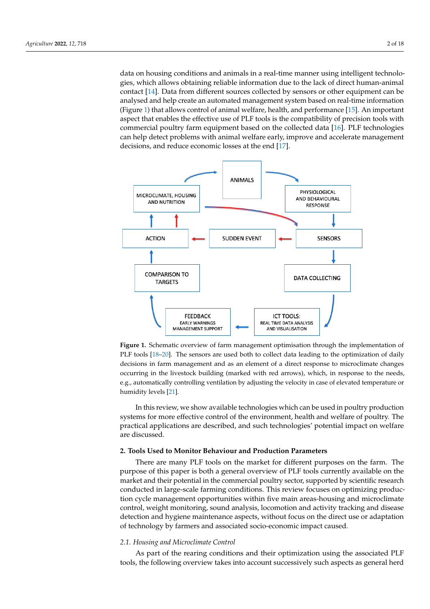data on housing conditions and animals in a real-time manner using intelligent technologies, which allows obtaining reliable information due to the lack of direct human-animal contact [\[14\]](#page-12-9). Data from different sources collected by sensors or other equipment can be analysed and help create an automated management system based on real-time information (Figure [1\)](#page-1-0) that allows control of animal welfare, health, and performance [\[15\]](#page-12-10). An important aspect that enables the effective use of PLF tools is the compatibility of precision tools with commercial poultry farm equipment based on the collected data [\[16\]](#page-12-11). PLF technologies can help detect problems with animal welfare early, improve and accelerate management decisions, and reduce economic losses at the end [\[17\]](#page-12-12).

equipment can be analysed and help create an automated management system based on

<span id="page-1-0"></span>

**Figure 1.** Schematic overview of farm management optimisation through the implementation of **Figure 1.** Schematic overview of farm management optimisation through the implementation of PLF tools [\[18](#page-12-13)[–20\]](#page-12-14). The sensors are used both to collect data leading to the optimization of daily decisions in farm management and as an element of a direct response to microclimate changes occurring in the livestock building (marked with red arrows), which, in response to the needs, automatically controlling ventilation by adjusting the velocity in case of elevated temperature or e.g., automatically controlling ventilation by adjusting the velocity in case of elevated temperature or humidity levels [21]. humidity levels [\[21\]](#page-12-15).

**2. Tools Used to Monitor Behaviour and Production Parameters**  In this review, we show available technologies which can be used in poultry production systems for more effective control of the environment, health and welfare of poultry. The practical applications are described, and such technologies' potential impact on welfare are discussed.  $\overline{a}$ are discussed.

# 2. Tools Used to Monitor Behaviour and Production Parameters production cycle management opportunities within five main areas-housing and micro-

There are many PLF tools on the market for different purposes on the farm. The purpose of this paper is both a general overview of PLF tools currently available on the direct use of this paper is both a general overview of PLF tools currently available on the market and their potential in the commercial poultry sector, supported by scientific research conducted in large-scale farming conditions. This review focuses on optimizing production cycle management opportunities within five main areas-housing and microclimate control, weight monitoring, sound analysis, locomotion and activity tracking and disease detection and hygiene maintenance aspects, without focus on the direct use or adaptation of technology by farmers and associated socio-economic impact caused.

## *2.1. Housing and Microclimate Control*

As part of the rearing conditions and their optimization using the associated PLF tools, the following overview takes into account successively such aspects as general herd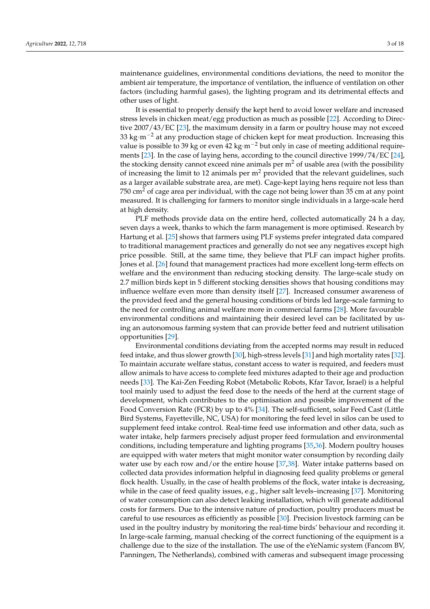maintenance guidelines, environmental conditions deviations, the need to monitor the ambient air temperature, the importance of ventilation, the influence of ventilation on other factors (including harmful gases), the lighting program and its detrimental effects and other uses of light.

It is essential to properly densify the kept herd to avoid lower welfare and increased stress levels in chicken meat/egg production as much as possible [\[22\]](#page-12-16). According to Directive 2007/43/EC [\[23\]](#page-12-17), the maximum density in a farm or poultry house may not exceed 33 kg·m−<sup>2</sup> at any production stage of chicken kept for meat production. Increasing this value is possible to 39 kg or even 42 kg·m−<sup>2</sup> but only in case of meeting additional requirements [\[23\]](#page-12-17). In the case of laying hens, according to the council directive 1999/74/EC [\[24\]](#page-12-18), the stocking density cannot exceed nine animals per  $m<sup>2</sup>$  of usable area (with the possibility of increasing the limit to 12 animals per  $m<sup>2</sup>$  provided that the relevant guidelines, such as a larger available substrate area, are met). Cage-kept laying hens require not less than  $750 \text{ cm}^2$  of cage area per individual, with the cage not being lower than 35 cm at any point measured. It is challenging for farmers to monitor single individuals in a large-scale herd at high density.

PLF methods provide data on the entire herd, collected automatically 24 h a day, seven days a week, thanks to which the farm management is more optimised. Research by Hartung et al. [\[25\]](#page-12-19) shows that farmers using PLF systems prefer integrated data compared to traditional management practices and generally do not see any negatives except high price possible. Still, at the same time, they believe that PLF can impact higher profits. Jones et al. [\[26\]](#page-12-20) found that management practices had more excellent long-term effects on welfare and the environment than reducing stocking density. The large-scale study on 2.7 million birds kept in 5 different stocking densities shows that housing conditions may influence welfare even more than density itself [\[27\]](#page-12-21). Increased consumer awareness of the provided feed and the general housing conditions of birds led large-scale farming to the need for controlling animal welfare more in commercial farms [\[28\]](#page-12-22). More favourable environmental conditions and maintaining their desired level can be facilitated by using an autonomous farming system that can provide better feed and nutrient utilisation opportunities [\[29\]](#page-12-23).

Environmental conditions deviating from the accepted norms may result in reduced feed intake, and thus slower growth [\[30\]](#page-12-24), high-stress levels [\[31\]](#page-13-0) and high mortality rates [\[32\]](#page-13-1). To maintain accurate welfare status, constant access to water is required, and feeders must allow animals to have access to complete feed mixtures adapted to their age and production needs [\[33\]](#page-13-2). The Kai-Zen Feeding Robot (Metabolic Robots, Kfar Tavor, Israel) is a helpful tool mainly used to adjust the feed dose to the needs of the herd at the current stage of development, which contributes to the optimisation and possible improvement of the Food Conversion Rate (FCR) by up to 4% [\[34\]](#page-13-3). The self-sufficient, solar Feed Cast (Little Bird Systems, Fayetteville, NC, USA) for monitoring the feed level in silos can be used to supplement feed intake control. Real-time feed use information and other data, such as water intake, help farmers precisely adjust proper feed formulation and environmental conditions, including temperature and lighting programs [\[35,](#page-13-4)[36\]](#page-13-5). Modern poultry houses are equipped with water meters that might monitor water consumption by recording daily water use by each row and/or the entire house  $[37,38]$  $[37,38]$ . Water intake patterns based on collected data provides information helpful in diagnosing feed quality problems or general flock health. Usually, in the case of health problems of the flock, water intake is decreasing, while in the case of feed quality issues, e.g., higher salt levels–increasing [\[37\]](#page-13-6). Monitoring of water consumption can also detect leaking installation, which will generate additional costs for farmers. Due to the intensive nature of production, poultry producers must be careful to use resources as efficiently as possible [\[30\]](#page-12-24). Precision livestock farming can be used in the poultry industry by monitoring the real-time birds' behaviour and recording it. In large-scale farming, manual checking of the correct functioning of the equipment is a challenge due to the size of the installation. The use of the eYeNamic system (Fancom BV, Panningen, The Netherlands), combined with cameras and subsequent image processing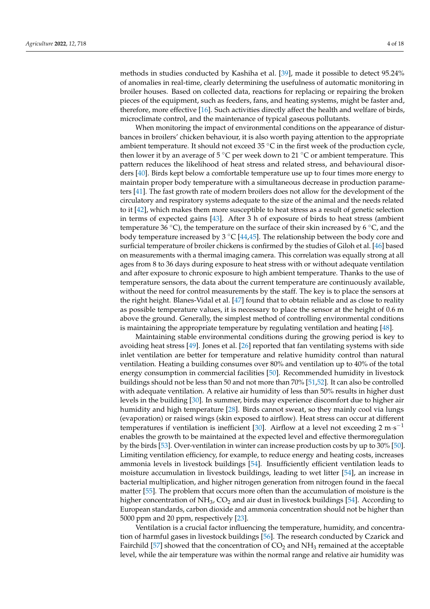methods in studies conducted by Kashiha et al. [\[39\]](#page-13-8), made it possible to detect 95.24% of anomalies in real-time, clearly determining the usefulness of automatic monitoring in broiler houses. Based on collected data, reactions for replacing or repairing the broken pieces of the equipment, such as feeders, fans, and heating systems, might be faster and, therefore, more effective [\[16\]](#page-12-11). Such activities directly affect the health and welfare of birds, microclimate control, and the maintenance of typical gaseous pollutants.

When monitoring the impact of environmental conditions on the appearance of disturbances in broilers' chicken behaviour, it is also worth paying attention to the appropriate ambient temperature. It should not exceed 35  $°C$  in the first week of the production cycle, then lower it by an average of 5  $\degree$ C per week down to 21  $\degree$ C or ambient temperature. This pattern reduces the likelihood of heat stress and related stress, and behavioural disorders [\[40\]](#page-13-9). Birds kept below a comfortable temperature use up to four times more energy to maintain proper body temperature with a simultaneous decrease in production parameters [\[41\]](#page-13-10). The fast growth rate of modern broilers does not allow for the development of the circulatory and respiratory systems adequate to the size of the animal and the needs related to it [\[42\]](#page-13-11), which makes them more susceptible to heat stress as a result of genetic selection in terms of expected gains [\[43\]](#page-13-12). After 3 h of exposure of birds to heat stress (ambient temperature 36  $°C$ ), the temperature on the surface of their skin increased by 6  $°C$ , and the body temperature increased by 3  $\degree$ C [\[44,](#page-13-13)[45\]](#page-13-14). The relationship between the body core and surficial temperature of broiler chickens is confirmed by the studies of Giloh et al. [\[46\]](#page-13-15) based on measurements with a thermal imaging camera. This correlation was equally strong at all ages from 8 to 36 days during exposure to heat stress with or without adequate ventilation and after exposure to chronic exposure to high ambient temperature. Thanks to the use of temperature sensors, the data about the current temperature are continuously available, without the need for control measurements by the staff. The key is to place the sensors at the right height. Blanes-Vidal et al. [\[47\]](#page-13-16) found that to obtain reliable and as close to reality as possible temperature values, it is necessary to place the sensor at the height of 0.6 m above the ground. Generally, the simplest method of controlling environmental conditions is maintaining the appropriate temperature by regulating ventilation and heating [\[48\]](#page-13-17).

Maintaining stable environmental conditions during the growing period is key to avoiding heat stress [\[49\]](#page-13-18). Jones et al. [\[26\]](#page-12-20) reported that fan ventilating systems with side inlet ventilation are better for temperature and relative humidity control than natural ventilation. Heating a building consumes over 80% and ventilation up to 40% of the total energy consumption in commercial facilities [\[50\]](#page-13-19). Recommended humidity in livestock buildings should not be less than 50 and not more than 70% [\[51](#page-13-20)[,52\]](#page-13-21). It can also be controlled with adequate ventilation. A relative air humidity of less than 50% results in higher dust levels in the building [\[30\]](#page-12-24). In summer, birds may experience discomfort due to higher air humidity and high temperature [\[28\]](#page-12-22). Birds cannot sweat, so they mainly cool via lungs (evaporation) or raised wings (skin exposed to airflow). Heat stress can occur at different temperatures if ventilation is inefficient [\[30\]](#page-12-24). Airflow at a level not exceeding  $2 \text{ m} \cdot \text{s}^{-1}$ enables the growth to be maintained at the expected level and effective thermoregulation by the birds [\[53\]](#page-13-22). Over-ventilation in winter can increase production costs by up to 30% [\[50\]](#page-13-19). Limiting ventilation efficiency, for example, to reduce energy and heating costs, increases ammonia levels in livestock buildings [\[54\]](#page-13-23). Insufficiently efficient ventilation leads to moisture accumulation in livestock buildings, leading to wet litter [\[54\]](#page-13-23), an increase in bacterial multiplication, and higher nitrogen generation from nitrogen found in the faecal matter [\[55\]](#page-13-24). The problem that occurs more often than the accumulation of moisture is the higher concentration of  $NH_3$ ,  $CO_2$  and air dust in livestock buildings [\[54\]](#page-13-23). According to European standards, carbon dioxide and ammonia concentration should not be higher than 5000 ppm and 20 ppm, respectively [\[23\]](#page-12-17).

Ventilation is a crucial factor influencing the temperature, humidity, and concentration of harmful gases in livestock buildings [\[56\]](#page-13-25). The research conducted by Czarick and Fairchild [\[57\]](#page-13-26) showed that the concentration of  $CO<sub>2</sub>$  and  $NH<sub>3</sub>$  remained at the acceptable level, while the air temperature was within the normal range and relative air humidity was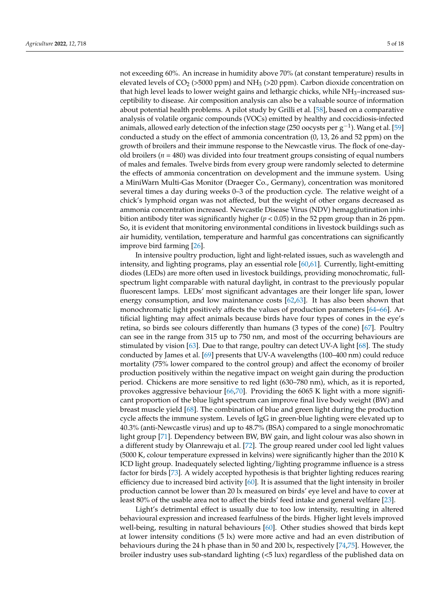not exceeding 60%. An increase in humidity above 70% (at constant temperature) results in elevated levels of  $CO<sub>2</sub>$  (>5000 ppm) and NH<sub>3</sub> (>20 ppm). Carbon dioxide concentration on that high level leads to lower weight gains and lethargic chicks, while NH<sub>3</sub>-increased susceptibility to disease. Air composition analysis can also be a valuable source of information about potential health problems. A pilot study by Grilli et al. [\[58\]](#page-13-27), based on a comparative analysis of volatile organic compounds (VOCs) emitted by healthy and coccidiosis-infected animals, allowed early detection of the infection stage (250 oocysts per  $\rm g^{-1}$ ). Wang et al. [\[59\]](#page-13-28) conducted a study on the effect of ammonia concentration (0, 13, 26 and 52 ppm) on the growth of broilers and their immune response to the Newcastle virus. The flock of one-dayold broilers (*n* = 480) was divided into four treatment groups consisting of equal numbers of males and females. Twelve birds from every group were randomly selected to determine the effects of ammonia concentration on development and the immune system. Using a MiniWarn Multi-Gas Monitor (Draeger Co., Germany), concentration was monitored several times a day during weeks 0–3 of the production cycle. The relative weight of a chick's lymphoid organ was not affected, but the weight of other organs decreased as ammonia concentration increased. Newcastle Disease Virus (NDV) hemagglutination inhibition antibody titer was significantly higher (*p* < 0.05) in the 52 ppm group than in 26 ppm. So, it is evident that monitoring environmental conditions in livestock buildings such as air humidity, ventilation, temperature and harmful gas concentrations can significantly improve bird farming [\[26\]](#page-12-20).

In intensive poultry production, light and light-related issues, such as wavelength and intensity, and lighting programs, play an essential role [\[60,](#page-13-29)[61\]](#page-14-0). Currently, light-emitting diodes (LEDs) are more often used in livestock buildings, providing monochromatic, fullspectrum light comparable with natural daylight, in contrast to the previously popular fluorescent lamps. LEDs' most significant advantages are their longer life span, lower energy consumption, and low maintenance costs [\[62,](#page-14-1)[63\]](#page-14-2). It has also been shown that monochromatic light positively affects the values of production parameters [\[64](#page-14-3)[–66\]](#page-14-4). Artificial lighting may affect animals because birds have four types of cones in the eye's retina, so birds see colours differently than humans (3 types of the cone) [\[67\]](#page-14-5). Poultry can see in the range from 315 up to 750 nm, and most of the occurring behaviours are stimulated by vision [\[63\]](#page-14-2). Due to that range, poultry can detect UV-A light [\[68\]](#page-14-6). The study conducted by James et al. [\[69\]](#page-14-7) presents that UV-A wavelengths (100–400 nm) could reduce mortality (75% lower compared to the control group) and affect the economy of broiler production positively within the negative impact on weight gain during the production period. Chickens are more sensitive to red light (630–780 nm), which, as it is reported, provokes aggressive behaviour [\[66](#page-14-4)[,70\]](#page-14-8). Providing the 6065 K light with a more significant proportion of the blue light spectrum can improve final live body weight (BW) and breast muscle yield [\[68\]](#page-14-6). The combination of blue and green light during the production cycle affects the immune system. Levels of IgG in green-blue lighting were elevated up to 40.3% (anti-Newcastle virus) and up to 48.7% (BSA) compared to a single monochromatic light group [\[71\]](#page-14-9). Dependency between BW, BW gain, and light colour was also shown in a different study by Olanrewaju et al. [\[72\]](#page-14-10). The group reared under cool led light values (5000 K, colour temperature expressed in kelvins) were significantly higher than the 2010 K ICD light group. Inadequately selected lighting/lighting programme influence is a stress factor for birds [\[73\]](#page-14-11). A widely accepted hypothesis is that brighter lighting reduces rearing efficiency due to increased bird activity [\[60\]](#page-13-29). It is assumed that the light intensity in broiler production cannot be lower than 20 lx measured on birds' eye level and have to cover at least 80% of the usable area not to affect the birds' feed intake and general welfare [\[23\]](#page-12-17).

Light's detrimental effect is usually due to too low intensity, resulting in altered behavioural expression and increased fearfulness of the birds. Higher light levels improved well-being, resulting in natural behaviours [\[60\]](#page-13-29). Other studies showed that birds kept at lower intensity conditions (5 lx) were more active and had an even distribution of behaviours during the 24 h phase than in 50 and 200 lx, respectively [\[74,](#page-14-12)[75\]](#page-14-13). However, the broiler industry uses sub-standard lighting (<5 lux) regardless of the published data on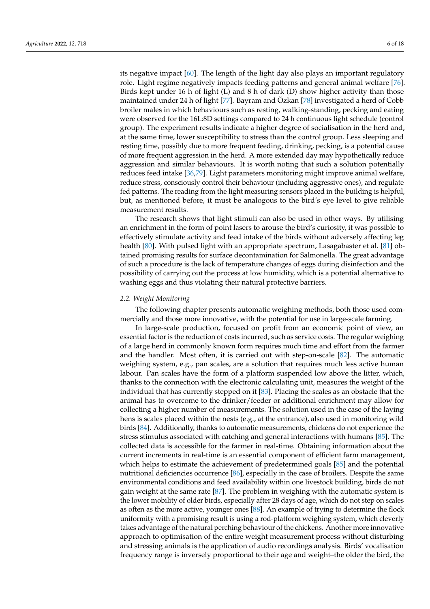its negative impact [\[60\]](#page-13-29). The length of the light day also plays an important regulatory role. Light regime negatively impacts feeding patterns and general animal welfare [\[76\]](#page-14-14). Birds kept under 16 h of light (L) and 8 h of dark (D) show higher activity than those maintained under 24 h of light [\[77\]](#page-14-15). Bayram and Özkan [\[78\]](#page-14-16) investigated a herd of Cobb broiler males in which behaviours such as resting, walking-standing, pecking and eating were observed for the 16L:8D settings compared to 24 h continuous light schedule (control group). The experiment results indicate a higher degree of socialisation in the herd and, at the same time, lower susceptibility to stress than the control group. Less sleeping and resting time, possibly due to more frequent feeding, drinking, pecking, is a potential cause of more frequent aggression in the herd. A more extended day may hypothetically reduce aggression and similar behaviours. It is worth noting that such a solution potentially reduces feed intake [\[36](#page-13-5)[,79\]](#page-14-17). Light parameters monitoring might improve animal welfare, reduce stress, consciously control their behaviour (including aggressive ones), and regulate fed patterns. The reading from the light measuring sensors placed in the building is helpful, but, as mentioned before, it must be analogous to the bird's eye level to give reliable measurement results.

The research shows that light stimuli can also be used in other ways. By utilising an enrichment in the form of point lasers to arouse the bird's curiosity, it was possible to effectively stimulate activity and feed intake of the birds without adversely affecting leg health [\[80\]](#page-14-18). With pulsed light with an appropriate spectrum, Lasagabaster et al. [\[81\]](#page-14-19) obtained promising results for surface decontamination for Salmonella. The great advantage of such a procedure is the lack of temperature changes of eggs during disinfection and the possibility of carrying out the process at low humidity, which is a potential alternative to washing eggs and thus violating their natural protective barriers.

#### *2.2. Weight Monitoring*

The following chapter presents automatic weighing methods, both those used commercially and those more innovative, with the potential for use in large-scale farming.

In large-scale production, focused on profit from an economic point of view, an essential factor is the reduction of costs incurred, such as service costs. The regular weighing of a large herd in commonly known form requires much time and effort from the farmer and the handler. Most often, it is carried out with step-on-scale [\[82\]](#page-14-20). The automatic weighing system, e.g., pan scales, are a solution that requires much less active human labour. Pan scales have the form of a platform suspended low above the litter, which, thanks to the connection with the electronic calculating unit, measures the weight of the individual that has currently stepped on it [\[83\]](#page-14-21). Placing the scales as an obstacle that the animal has to overcome to the drinker/feeder or additional enrichment may allow for collecting a higher number of measurements. The solution used in the case of the laying hens is scales placed within the nests (e.g., at the entrance), also used in monitoring wild birds [\[84\]](#page-14-22). Additionally, thanks to automatic measurements, chickens do not experience the stress stimulus associated with catching and general interactions with humans [\[85\]](#page-14-23). The collected data is accessible for the farmer in real-time. Obtaining information about the current increments in real-time is an essential component of efficient farm management, which helps to estimate the achievement of predetermined goals [\[85\]](#page-14-23) and the potential nutritional deficiencies occurrence [\[86\]](#page-14-24), especially in the case of broilers. Despite the same environmental conditions and feed availability within one livestock building, birds do not gain weight at the same rate [\[87\]](#page-14-25). The problem in weighing with the automatic system is the lower mobility of older birds, especially after 28 days of age, which do not step on scales as often as the more active, younger ones [\[88\]](#page-14-26). An example of trying to determine the flock uniformity with a promising result is using a rod-platform weighing system, which cleverly takes advantage of the natural perching behaviour of the chickens. Another more innovative approach to optimisation of the entire weight measurement process without disturbing and stressing animals is the application of audio recordings analysis. Birds' vocalisation frequency range is inversely proportional to their age and weight–the older the bird, the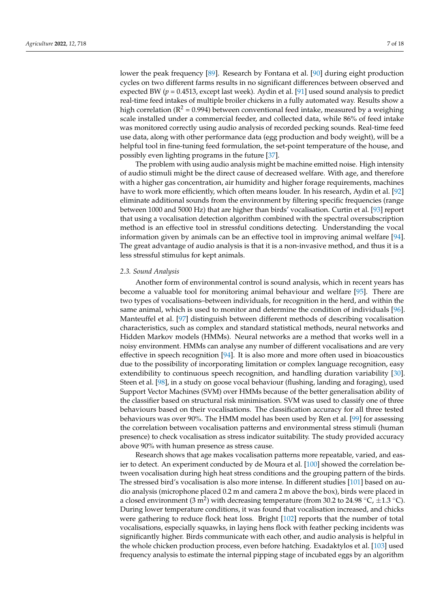lower the peak frequency [\[89\]](#page-15-0). Research by Fontana et al. [\[90\]](#page-15-1) during eight production cycles on two different farms results in no significant differences between observed and expected BW ( $p = 0.4513$ , except last week). Aydin et al. [\[91\]](#page-15-2) used sound analysis to predict real-time feed intakes of multiple broiler chickens in a fully automated way. Results show a high correlation ( $\mathbb{R}^2 = 0.994$ ) between conventional feed intake, measured by a weighing scale installed under a commercial feeder, and collected data, while 86% of feed intake was monitored correctly using audio analysis of recorded pecking sounds. Real-time feed use data, along with other performance data (egg production and body weight), will be a helpful tool in fine-tuning feed formulation, the set-point temperature of the house, and possibly even lighting programs in the future [\[37\]](#page-13-6).

The problem with using audio analysis might be machine emitted noise. High intensity of audio stimuli might be the direct cause of decreased welfare. With age, and therefore with a higher gas concentration, air humidity and higher forage requirements, machines have to work more efficiently, which often means louder. In his research, Aydin et al. [\[92\]](#page-15-3) eliminate additional sounds from the environment by filtering specific frequencies (range between 1000 and 5000 Hz) that are higher than birds' vocalisation. Curtin et al. [\[93\]](#page-15-4) report that using a vocalisation detection algorithm combined with the spectral oversubscription method is an effective tool in stressful conditions detecting. Understanding the vocal information given by animals can be an effective tool in improving animal welfare [\[94\]](#page-15-5). The great advantage of audio analysis is that it is a non-invasive method, and thus it is a less stressful stimulus for kept animals.

## *2.3. Sound Analysis*

Another form of environmental control is sound analysis, which in recent years has become a valuable tool for monitoring animal behaviour and welfare [\[95\]](#page-15-6). There are two types of vocalisations–between individuals, for recognition in the herd, and within the same animal, which is used to monitor and determine the condition of individuals [\[96\]](#page-15-7). Manteuffel et al. [\[97\]](#page-15-8) distinguish between different methods of describing vocalisation characteristics, such as complex and standard statistical methods, neural networks and Hidden Markov models (HMMs). Neural networks are a method that works well in a noisy environment. HMMs can analyse any number of different vocalisations and are very effective in speech recognition [\[94\]](#page-15-5). It is also more and more often used in bioacoustics due to the possibility of incorporating limitation or complex language recognition, easy extendibility to continuous speech recognition, and handling duration variability [\[30\]](#page-12-24). Steen et al. [\[98\]](#page-15-9), in a study on goose vocal behaviour (flushing, landing and foraging), used Support Vector Machines (SVM) over HMMs because of the better generalisation ability of the classifier based on structural risk minimisation. SVM was used to classify one of three behaviours based on their vocalisations. The classification accuracy for all three tested behaviours was over 90%. The HMM model has been used by Ren et al. [\[99\]](#page-15-10) for assessing the correlation between vocalisation patterns and environmental stress stimuli (human presence) to check vocalisation as stress indicator suitability. The study provided accuracy above 90% with human presence as stress cause.

Research shows that age makes vocalisation patterns more repeatable, varied, and easier to detect. An experiment conducted by de Moura et al. [\[100\]](#page-15-11) showed the correlation between vocalisation during high heat stress conditions and the grouping pattern of the birds. The stressed bird's vocalisation is also more intense. In different studies [\[101\]](#page-15-12) based on audio analysis (microphone placed 0.2 m and camera 2 m above the box), birds were placed in a closed environment (3 m<sup>2</sup>) with decreasing temperature (from 30.2 to 24.98 °C,  $\pm$ 1.3 °C). During lower temperature conditions, it was found that vocalisation increased, and chicks were gathering to reduce flock heat loss. Bright [\[102\]](#page-15-13) reports that the number of total vocalisations, especially squawks, in laying hens flock with feather pecking incidents was significantly higher. Birds communicate with each other, and audio analysis is helpful in the whole chicken production process, even before hatching. Exadaktylos et al. [\[103\]](#page-15-14) used frequency analysis to estimate the internal pipping stage of incubated eggs by an algorithm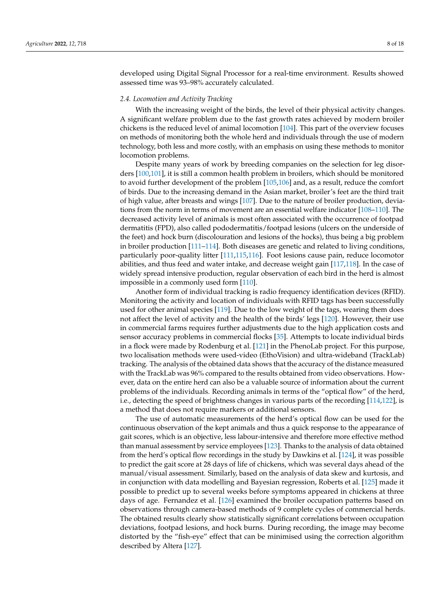developed using Digital Signal Processor for a real-time environment. Results showed assessed time was 93–98% accurately calculated.

#### *2.4. Locomotion and Activity Tracking*

With the increasing weight of the birds, the level of their physical activity changes. A significant welfare problem due to the fast growth rates achieved by modern broiler chickens is the reduced level of animal locomotion [\[104\]](#page-15-15). This part of the overview focuses on methods of monitoring both the whole herd and individuals through the use of modern technology, both less and more costly, with an emphasis on using these methods to monitor locomotion problems.

Despite many years of work by breeding companies on the selection for leg disorders [\[100,](#page-15-11)[101\]](#page-15-12), it is still a common health problem in broilers, which should be monitored to avoid further development of the problem [\[105,](#page-15-16)[106\]](#page-15-17) and, as a result, reduce the comfort of birds. Due to the increasing demand in the Asian market, broiler's feet are the third trait of high value, after breasts and wings [\[107\]](#page-15-18). Due to the nature of broiler production, deviations from the norm in terms of movement are an essential welfare indicator [\[108](#page-15-19)[–110\]](#page-15-20). The decreased activity level of animals is most often associated with the occurrence of footpad dermatitis (FPD), also called pododermatitis/footpad lesions (ulcers on the underside of the feet) and hock burn (discolouration and lesions of the hocks), thus being a big problem in broiler production [\[111](#page-15-21)[–114\]](#page-15-22). Both diseases are genetic and related to living conditions, particularly poor-quality litter [\[111](#page-15-21)[,115](#page-15-23)[,116\]](#page-15-24). Foot lesions cause pain, reduce locomotor abilities, and thus feed and water intake, and decrease weight gain [\[117,](#page-15-25)[118\]](#page-15-26). In the case of widely spread intensive production, regular observation of each bird in the herd is almost impossible in a commonly used form [\[110\]](#page-15-20).

Another form of individual tracking is radio frequency identification devices (RFID). Monitoring the activity and location of individuals with RFID tags has been successfully used for other animal species [\[119\]](#page-16-0). Due to the low weight of the tags, wearing them does not affect the level of activity and the health of the birds' legs [\[120\]](#page-16-1). However, their use in commercial farms requires further adjustments due to the high application costs and sensor accuracy problems in commercial flocks [\[35\]](#page-13-4). Attempts to locate individual birds in a flock were made by Rodenburg et al. [\[121\]](#page-16-2) in the PhenoLab project. For this purpose, two localisation methods were used-video (EthoVision) and ultra-wideband (TrackLab) tracking. The analysis of the obtained data shows that the accuracy of the distance measured with the TrackLab was 96% compared to the results obtained from video observations. However, data on the entire herd can also be a valuable source of information about the current problems of the individuals. Recording animals in terms of the "optical flow" of the herd, i.e., detecting the speed of brightness changes in various parts of the recording [\[114,](#page-15-22)[122\]](#page-16-3), is a method that does not require markers or additional sensors.

The use of automatic measurements of the herd's optical flow can be used for the continuous observation of the kept animals and thus a quick response to the appearance of gait scores, which is an objective, less labour-intensive and therefore more effective method than manual assessment by service employees [\[123\]](#page-16-4). Thanks to the analysis of data obtained from the herd's optical flow recordings in the study by Dawkins et al. [\[124\]](#page-16-5), it was possible to predict the gait score at 28 days of life of chickens, which was several days ahead of the manual/visual assessment. Similarly, based on the analysis of data skew and kurtosis, and in conjunction with data modelling and Bayesian regression, Roberts et al. [\[125\]](#page-16-6) made it possible to predict up to several weeks before symptoms appeared in chickens at three days of age. Fernandez et al. [\[126\]](#page-16-7) examined the broiler occupation patterns based on observations through camera-based methods of 9 complete cycles of commercial herds. The obtained results clearly show statistically significant correlations between occupation deviations, footpad lesions, and hock burns. During recording, the image may become distorted by the "fish-eye" effect that can be minimised using the correction algorithm described by Altera [\[127\]](#page-16-8).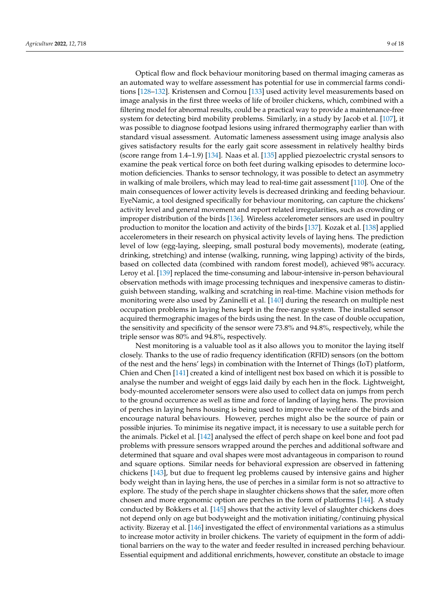Optical flow and flock behaviour monitoring based on thermal imaging cameras as an automated way to welfare assessment has potential for use in commercial farms conditions [\[128](#page-16-9)[–132\]](#page-16-10). Kristensen and Cornou [\[133\]](#page-16-11) used activity level measurements based on image analysis in the first three weeks of life of broiler chickens, which, combined with a filtering model for abnormal results, could be a practical way to provide a maintenance-free system for detecting bird mobility problems. Similarly, in a study by Jacob et al. [\[107\]](#page-15-18), it was possible to diagnose footpad lesions using infrared thermography earlier than with standard visual assessment. Automatic lameness assessment using image analysis also gives satisfactory results for the early gait score assessment in relatively healthy birds (score range from 1.4–1.9) [\[134\]](#page-16-12). Naas et al. [\[135\]](#page-16-13) applied piezoelectric crystal sensors to examine the peak vertical force on both feet during walking episodes to determine locomotion deficiencies. Thanks to sensor technology, it was possible to detect an asymmetry in walking of male broilers, which may lead to real-time gait assessment [\[110\]](#page-15-20). One of the main consequences of lower activity levels is decreased drinking and feeding behaviour. EyeNamic, a tool designed specifically for behaviour monitoring, can capture the chickens' activity level and general movement and report related irregularities, such as crowding or improper distribution of the birds [\[136\]](#page-16-14). Wireless accelerometer sensors are used in poultry production to monitor the location and activity of the birds [\[137\]](#page-16-15). Kozak et al. [\[138\]](#page-16-16) applied accelerometers in their research on physical activity levels of laying hens. The prediction level of low (egg-laying, sleeping, small postural body movements), moderate (eating, drinking, stretching) and intense (walking, running, wing lapping) activity of the birds, based on collected data (combined with random forest model), achieved 98% accuracy. Leroy et al. [\[139\]](#page-16-17) replaced the time-consuming and labour-intensive in-person behavioural observation methods with image processing techniques and inexpensive cameras to distinguish between standing, walking and scratching in real-time. Machine vision methods for monitoring were also used by Zaninelli et al. [\[140\]](#page-16-18) during the research on multiple nest occupation problems in laying hens kept in the free-range system. The installed sensor acquired thermographic images of the birds using the nest. In the case of double occupation, the sensitivity and specificity of the sensor were 73.8% and 94.8%, respectively, while the triple sensor was 80% and 94.8%, respectively.

Nest monitoring is a valuable tool as it also allows you to monitor the laying itself closely. Thanks to the use of radio frequency identification (RFID) sensors (on the bottom of the nest and the hens' legs) in combination with the Internet of Things (IoT) platform, Chien and Chen [\[141\]](#page-16-19) created a kind of intelligent nest box based on which it is possible to analyse the number and weight of eggs laid daily by each hen in the flock. Lightweight, body-mounted accelerometer sensors were also used to collect data on jumps from perch to the ground occurrence as well as time and force of landing of laying hens. The provision of perches in laying hens housing is being used to improve the welfare of the birds and encourage natural behaviours. However, perches might also be the source of pain or possible injuries. To minimise its negative impact, it is necessary to use a suitable perch for the animals. Pickel et al. [\[142\]](#page-16-20) analysed the effect of perch shape on keel bone and foot pad problems with pressure sensors wrapped around the perches and additional software and determined that square and oval shapes were most advantageous in comparison to round and square options. Similar needs for behavioral expression are observed in fattening chickens [\[143\]](#page-16-21), but due to frequent leg problems caused by intensive gains and higher body weight than in laying hens, the use of perches in a similar form is not so attractive to explore. The study of the perch shape in slaughter chickens shows that the safer, more often chosen and more ergonomic option are perches in the form of platforms [\[144\]](#page-16-22). A study conducted by Bokkers et al. [\[145\]](#page-17-0) shows that the activity level of slaughter chickens does not depend only on age but bodyweight and the motivation initiating/continuing physical activity. Bizeray et al. [\[146\]](#page-17-1) investigated the effect of environmental variations as a stimulus to increase motor activity in broiler chickens. The variety of equipment in the form of additional barriers on the way to the water and feeder resulted in increased perching behaviour. Essential equipment and additional enrichments, however, constitute an obstacle to image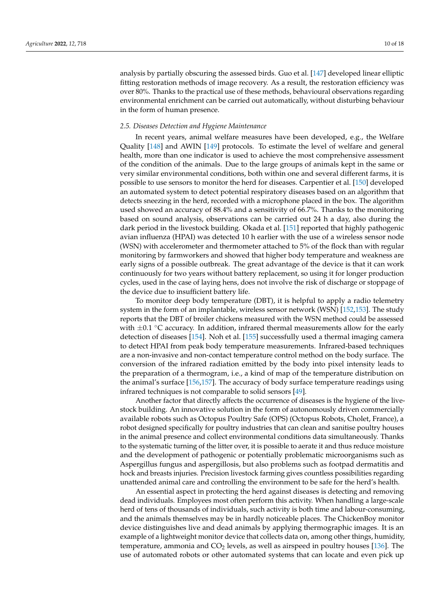analysis by partially obscuring the assessed birds. Guo et al. [\[147\]](#page-17-2) developed linear elliptic fitting restoration methods of image recovery. As a result, the restoration efficiency was over 80%. Thanks to the practical use of these methods, behavioural observations regarding environmental enrichment can be carried out automatically, without disturbing behaviour in the form of human presence.

#### *2.5. Diseases Detection and Hygiene Maintenance*

In recent years, animal welfare measures have been developed, e.g., the Welfare Quality [\[148\]](#page-17-3) and AWIN [\[149\]](#page-17-4) protocols. To estimate the level of welfare and general health, more than one indicator is used to achieve the most comprehensive assessment of the condition of the animals. Due to the large groups of animals kept in the same or very similar environmental conditions, both within one and several different farms, it is possible to use sensors to monitor the herd for diseases. Carpentier et al. [\[150\]](#page-17-5) developed an automated system to detect potential respiratory diseases based on an algorithm that detects sneezing in the herd, recorded with a microphone placed in the box. The algorithm used showed an accuracy of 88.4% and a sensitivity of 66.7%. Thanks to the monitoring based on sound analysis, observations can be carried out 24 h a day, also during the dark period in the livestock building. Okada et al. [\[151\]](#page-17-6) reported that highly pathogenic avian influenza (HPAI) was detected 10 h earlier with the use of a wireless sensor node (WSN) with accelerometer and thermometer attached to 5% of the flock than with regular monitoring by farmworkers and showed that higher body temperature and weakness are early signs of a possible outbreak. The great advantage of the device is that it can work continuously for two years without battery replacement, so using it for longer production cycles, used in the case of laying hens, does not involve the risk of discharge or stoppage of the device due to insufficient battery life.

To monitor deep body temperature (DBT), it is helpful to apply a radio telemetry system in the form of an implantable, wireless sensor network (WSN) [\[152,](#page-17-7)[153\]](#page-17-8). The study reports that the DBT of broiler chickens measured with the WSN method could be assessed with  $\pm$ 0.1  $\degree$ C accuracy. In addition, infrared thermal measurements allow for the early detection of diseases [\[154\]](#page-17-9). Noh et al. [\[155\]](#page-17-10) successfully used a thermal imaging camera to detect HPAI from peak body temperature measurements. Infrared-based techniques are a non-invasive and non-contact temperature control method on the body surface. The conversion of the infrared radiation emitted by the body into pixel intensity leads to the preparation of a thermogram, i.e., a kind of map of the temperature distribution on the animal's surface [\[156](#page-17-11)[,157\]](#page-17-12). The accuracy of body surface temperature readings using infrared techniques is not comparable to solid sensors [\[49\]](#page-13-18).

Another factor that directly affects the occurrence of diseases is the hygiene of the livestock building. An innovative solution in the form of autonomously driven commercially available robots such as Octopus Poultry Safe (OPS) (Octopus Robots, Cholet, France), a robot designed specifically for poultry industries that can clean and sanitise poultry houses in the animal presence and collect environmental conditions data simultaneously. Thanks to the systematic turning of the litter over, it is possible to aerate it and thus reduce moisture and the development of pathogenic or potentially problematic microorganisms such as Aspergillus fungus and aspergillosis, but also problems such as footpad dermatitis and hock and breasts injuries. Precision livestock farming gives countless possibilities regarding unattended animal care and controlling the environment to be safe for the herd's health.

An essential aspect in protecting the herd against diseases is detecting and removing dead individuals. Employees most often perform this activity. When handling a large-scale herd of tens of thousands of individuals, such activity is both time and labour-consuming, and the animals themselves may be in hardly noticeable places. The ChickenBoy monitor device distinguishes live and dead animals by applying thermographic images. It is an example of a lightweight monitor device that collects data on, among other things, humidity, temperature, ammonia and  $CO<sub>2</sub>$  levels, as well as airspeed in poultry houses [\[136\]](#page-16-14). The use of automated robots or other automated systems that can locate and even pick up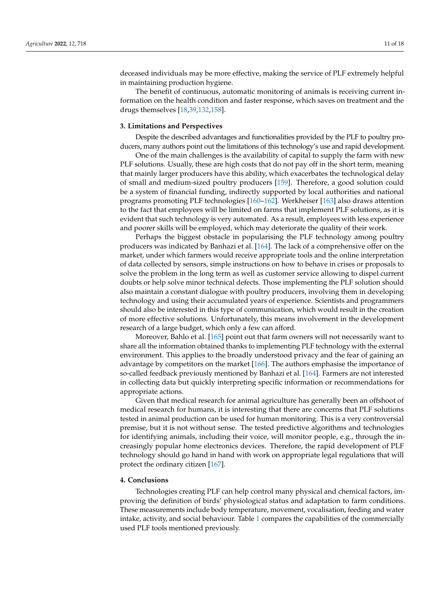deceased individuals may be more effective, making the service of PLF extremely helpful in maintaining production hygiene.

The benefit of continuous, automatic monitoring of animals is receiving current information on the health condition and faster response, which saves on treatment and the drugs themselves [\[18](#page-12-13)[,39](#page-13-8)[,132](#page-16-10)[,158\]](#page-17-13).

#### **3. Limitations and Perspectives**

Despite the described advantages and functionalities provided by the PLF to poultry producers, many authors point out the limitations of this technology's use and rapid development.

One of the main challenges is the availability of capital to supply the farm with new PLF solutions. Usually, these are high costs that do not pay off in the short term, meaning that mainly larger producers have this ability, which exacerbates the technological delay of small and medium-sized poultry producers [\[159\]](#page-17-14). Therefore, a good solution could be a system of financial funding, indirectly supported by local authorities and national programs promoting PLF technologies [\[160–](#page-17-15)[162\]](#page-17-16). Werkheiser [\[163\]](#page-17-17) also draws attention to the fact that employees will be limited on farms that implement PLF solutions, as it is evident that such technology is very automated. As a result, employees with less experience and poorer skills will be employed, which may deteriorate the quality of their work.

Perhaps the biggest obstacle in popularising the PLF technology among poultry producers was indicated by Banhazi et al. [\[164\]](#page-17-18). The lack of a comprehensive offer on the market, under which farmers would receive appropriate tools and the online interpretation of data collected by sensors, simple instructions on how to behave in crises or proposals to solve the problem in the long term as well as customer service allowing to dispel current doubts or help solve minor technical defects. Those implementing the PLF solution should also maintain a constant dialogue with poultry producers, involving them in developing technology and using their accumulated years of experience. Scientists and programmers should also be interested in this type of communication, which would result in the creation of more effective solutions. Unfortunately, this means involvement in the development research of a large budget, which only a few can afford.

Moreover, Bahlo et al. [\[165\]](#page-17-19) point out that farm owners will not necessarily want to share all the information obtained thanks to implementing PLF technology with the external environment. This applies to the broadly understood privacy and the fear of gaining an advantage by competitors on the market [\[166\]](#page-17-20). The authors emphasise the importance of so-called feedback previously mentioned by Banhazi et al. [\[164\]](#page-17-18). Farmers are not interested in collecting data but quickly interpreting specific information or recommendations for appropriate actions.

Given that medical research for animal agriculture has generally been an offshoot of medical research for humans, it is interesting that there are concerns that PLF solutions tested in animal production can be used for human monitoring. This is a very controversial premise, but it is not without sense. The tested predictive algorithms and technologies for identifying animals, including their voice, will monitor people, e.g., through the increasingly popular home electronics devices. Therefore, the rapid development of PLF technology should go hand in hand with work on appropriate legal regulations that will protect the ordinary citizen [\[167\]](#page-17-21).

## **4. Conclusions**

Technologies creating PLF can help control many physical and chemical factors, improving the definition of birds' physiological status and adaptation to farm conditions. These measurements include body temperature, movement, vocalisation, feeding and water intake, activity, and social behaviour. Table [1](#page-11-0) compares the capabilities of the commercially used PLF tools mentioned previously.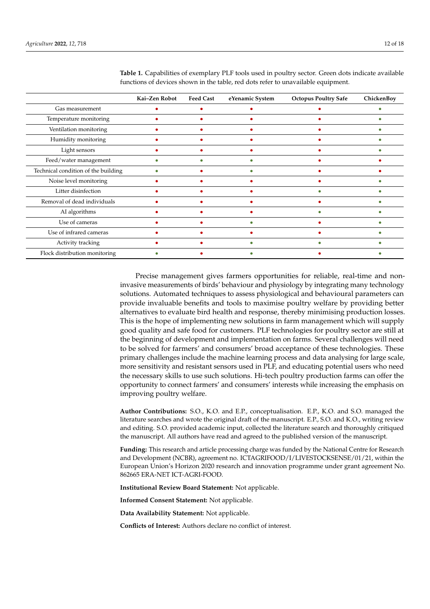|                                     | Kai-Zen Robot | <b>Feed Cast</b> | eYenamic System | <b>Octopus Poultry Safe</b> | ChickenBoy |
|-------------------------------------|---------------|------------------|-----------------|-----------------------------|------------|
| Gas measurement                     |               |                  |                 |                             |            |
| Temperature monitoring              |               |                  |                 |                             |            |
| Ventilation monitoring              |               |                  |                 |                             |            |
| Humidity monitoring                 |               |                  |                 |                             |            |
| Light sensors                       |               |                  |                 |                             |            |
| Feed/water management               |               |                  |                 |                             |            |
| Technical condition of the building |               |                  |                 |                             |            |
| Noise level monitoring              |               |                  |                 |                             |            |
| Litter disinfection                 |               |                  |                 |                             |            |
| Removal of dead individuals         |               |                  |                 |                             |            |
| AI algorithms                       |               |                  |                 |                             |            |
| Use of cameras                      |               |                  |                 |                             |            |
| Use of infrared cameras             |               |                  |                 |                             |            |
| Activity tracking                   |               |                  |                 |                             |            |
| Flock distribution monitoring       |               |                  |                 |                             |            |

<span id="page-11-0"></span>**Table 1.** Capabilities of exemplary PLF tools used in poultry sector. Green dots indicate available functions of devices shown in the table, red dots refer to unavailable equipment.

Precise management gives farmers opportunities for reliable, real-time and noninvasive measurements of birds' behaviour and physiology by integrating many technology solutions. Automated techniques to assess physiological and behavioural parameters can provide invaluable benefits and tools to maximise poultry welfare by providing better alternatives to evaluate bird health and response, thereby minimising production losses. This is the hope of implementing new solutions in farm management which will supply good quality and safe food for customers. PLF technologies for poultry sector are still at the beginning of development and implementation on farms. Several challenges will need to be solved for farmers' and consumers' broad acceptance of these technologies. These primary challenges include the machine learning process and data analysing for large scale, more sensitivity and resistant sensors used in PLF, and educating potential users who need the necessary skills to use such solutions. Hi-tech poultry production farms can offer the opportunity to connect farmers' and consumers' interests while increasing the emphasis on improving poultry welfare.

**Author Contributions:** S.O., K.O. and E.P., conceptualisation. E.P., K.O. and S.O. managed the literature searches and wrote the original draft of the manuscript. E.P., S.O. and K.O., writing review and editing. S.O. provided academic input, collected the literature search and thoroughly critiqued the manuscript. All authors have read and agreed to the published version of the manuscript.

**Funding:** This research and article processing charge was funded by the National Centre for Research and Development (NCBR), agreement no. ICTAGRIFOOD/I/LIVESTOCKSENSE/01/21, within the European Union's Horizon 2020 research and innovation programme under grant agreement No. 862665 ERA-NET ICT-AGRI-FOOD.

**Institutional Review Board Statement:** Not applicable.

**Informed Consent Statement:** Not applicable.

**Data Availability Statement:** Not applicable.

**Conflicts of Interest:** Authors declare no conflict of interest.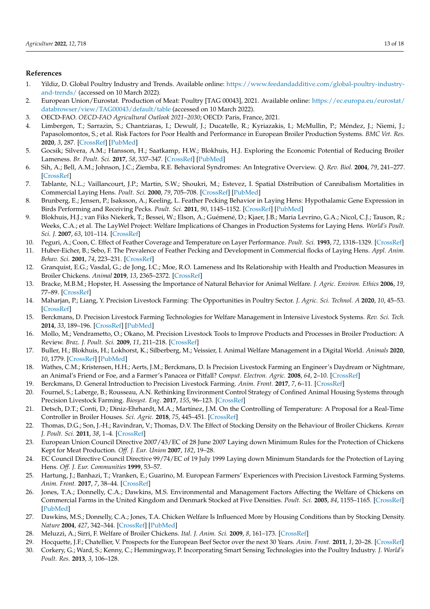# **References**

- <span id="page-12-0"></span>1. Yildiz, D. Global Poultry Industry and Trends. Available online: [https://www.feedandadditive.com/global-poultry-industry](https://www.feedandadditive.com/global-poultry-industry-and-trends/)[and-trends/](https://www.feedandadditive.com/global-poultry-industry-and-trends/) (accessed on 10 March 2022).
- <span id="page-12-1"></span>2. European Union/Eurostat. Production of Meat: Poultry [TAG 00043], 2021. Available online: [https://ec.europa.eu/eurostat/](https://ec.europa.eu/eurostat/databrowser/view/TAG00043/default/table) [databrowser/view/TAG00043/default/table](https://ec.europa.eu/eurostat/databrowser/view/TAG00043/default/table) (accessed on 10 March 2022).
- <span id="page-12-2"></span>3. OECD-FAO. *OECD-FAO Agricultural Outlook 2021–2030*; OECD: Paris, France, 2021.
- <span id="page-12-3"></span>4. Limbergen, T.; Sarrazin, S.; Chantziaras, I.; Dewulf, J.; Ducatelle, R.; Kyriazakis, I.; McMullin, P.; Méndez, J.; Niemi, J.; Papasolomontos, S.; et al. Risk Factors for Poor Health and Performance in European Broiler Production Systems. *BMC Vet. Res.* **2020**, *3*, 287. [\[CrossRef\]](http://doi.org/10.1186/s12917-020-02484-3) [\[PubMed\]](http://www.ncbi.nlm.nih.gov/pubmed/32787841)
- <span id="page-12-4"></span>5. Gocsik; Silvera, A.M.; Hansson, H.; Saatkamp, H.W.; Blokhuis, H.J. Exploring the Economic Potential of Reducing Broiler Lameness. *Br. Poult. Sci.* **2017**, *58*, 337–347. [\[CrossRef\]](http://doi.org/10.1080/00071668.2017.1304530) [\[PubMed\]](http://www.ncbi.nlm.nih.gov/pubmed/28294637)
- <span id="page-12-5"></span>6. Sih, A.; Bell, A.M.; Johnson, J.C.; Ziemba, R.E. Behavioral Syndromes: An Integrative Overview. *Q. Rev. Biol.* **2004**, *79*, 241–277. [\[CrossRef\]](http://doi.org/10.1086/422893)
- <span id="page-12-6"></span>7. Tablante, N.L.; Vaillancourt, J.P.; Martin, S.W.; Shoukri, M.; Estevez, I. Spatial Distribution of Cannibalism Mortalities in Commercial Laying Hens. *Poult. Sci.* **2000**, *79*, 705–708. [\[CrossRef\]](http://doi.org/10.1093/ps/79.5.705) [\[PubMed\]](http://www.ncbi.nlm.nih.gov/pubmed/10824959)
- 8. Brunberg, E.; Jensen, P.; Isaksson, A.; Keeling, L. Feather Pecking Behavior in Laying Hens: Hypothalamic Gene Expression in Birds Performing and Receiving Pecks. *Poult. Sci.* **2011**, *90*, 1145–1152. [\[CrossRef\]](http://doi.org/10.3382/ps.2010-00961) [\[PubMed\]](http://www.ncbi.nlm.nih.gov/pubmed/21597052)
- 9. Blokhuis, H.J.; van Fiks Niekerk, T.; Bessei, W.; Elson, A.; Guémené, D.; Kjaer, J.B.; Maria Levrino, G.A.; Nicol, C.J.; Tauson, R.; Weeks, C.A.; et al. The LayWel Project: Welfare Implications of Changes in Production Systems for Laying Hens. *World's Poult. Sci. J.* **2007**, *63*, 101–114. [\[CrossRef\]](http://doi.org/10.1017/S0043933907001328)
- 10. Peguri, A.; Coon, C. Effect of Feather Coverage and Temperature on Layer Performance. *Poult. Sci.* **1993**, *72*, 1318–1329. [\[CrossRef\]](http://doi.org/10.3382/ps.0721318)
- 11. Huber-Eicher, B.; Sebo, F. The Prevalence of Feather Pecking and Development in Commercial flocks of Laying Hens. *Appl. Anim. Behav. Sci.* **2001**, *74*, 223–231. [\[CrossRef\]](http://doi.org/10.1016/S0168-1591(01)00173-3)
- <span id="page-12-7"></span>12. Granquist, E.G.; Vasdal, G.; de Jong, I.C.; Moe, R.O. Lameness and Its Relationship with Health and Production Measures in Broiler Chickens. *Animal* **2019**, *13*, 2365–2372. [\[CrossRef\]](http://doi.org/10.1017/S1751731119000466)
- <span id="page-12-8"></span>13. Bracke, M.B.M.; Hopster, H. Assessing the Importance of Natural Behavior for Animal Welfare. *J. Agric. Environ. Ethics* **2006**, *19*, 77–89. [\[CrossRef\]](http://doi.org/10.1007/s10806-005-4493-7)
- <span id="page-12-9"></span>14. Maharjan, P.; Liang, Y. Precision Livestock Farming: The Opportunities in Poultry Sector. *J. Agric. Sci. Technol. A* **2020**, *10*, 45–53. [\[CrossRef\]](http://doi.org/10.17265/2161-6256/2020.02.001)
- <span id="page-12-10"></span>15. Berckmans, D. Precision Livestock Farming Technologies for Welfare Management in Intensive Livestock Systems. *Rev. Sci. Tech.* **2014**, *33*, 189–196. [\[CrossRef\]](http://doi.org/10.20506/rst.33.1.2273) [\[PubMed\]](http://www.ncbi.nlm.nih.gov/pubmed/25000791)
- <span id="page-12-11"></span>16. Mollo, M.; Vendrametto, O.; Okano, M. Precision Livestock Tools to Improve Products and Processes in Broiler Production: A Review. *Braz. J. Poult. Sci.* **2009**, *11*, 211–218. [\[CrossRef\]](http://doi.org/10.1590/S1516-635X2009000400001)
- <span id="page-12-12"></span>17. Buller, H.; Blokhuis, H.; Lokhorst, K.; Silberberg, M.; Veissier, I. Animal Welfare Management in a Digital World. *Animals* **2020**, *10*, 1779. [\[CrossRef\]](http://doi.org/10.3390/ani10101779) [\[PubMed\]](http://www.ncbi.nlm.nih.gov/pubmed/33019558)
- <span id="page-12-13"></span>18. Wathes, C.M.; Kristensen, H.H.; Aerts, J.M.; Berckmans, D. Is Precision Livestock Farming an Engineer's Daydream or Nightmare, an Animal's Friend or Foe, and a Farmer's Panacea or Pitfall? *Comput. Electron. Agric.* **2008**, *64*, 2–10. [\[CrossRef\]](http://doi.org/10.1016/j.compag.2008.05.005)
- 19. Berckmans, D. General Introduction to Precision Livestock Farming. *Anim. Front.* **2017**, *7*, 6–11. [\[CrossRef\]](http://doi.org/10.2527/af.2017.0102)
- <span id="page-12-14"></span>20. Fournel, S.; Laberge, B.; Rousseau, A.N. Rethinking Environment Control Strategy of Confined Animal Housing Systems through Precision Livestock Farming. *Biosyst. Eng.* **2017**, *155*, 96–123. [\[CrossRef\]](http://doi.org/10.1016/j.biosystemseng.2016.12.005)
- <span id="page-12-15"></span>21. Detsch, D.T.; Conti, D.; Diniz-Ehrhardt, M.A.; Martínez, J.M. On the Controlling of Temperature: A Proposal for a Real-Time Controller in Broiler Houses. *Sci. Agric.* **2018**, *75*, 445–451. [\[CrossRef\]](http://doi.org/10.1590/1678-992x-2016-0456)
- <span id="page-12-16"></span>22. Thomas, D.G.; Son, J.-H.; Ravindran, V.; Thomas, D.V. The Effect of Stocking Density on the Behaviour of Broiler Chickens. *Korean J. Poult. Sci.* **2011**, *38*, 1–4. [\[CrossRef\]](http://doi.org/10.5536/KJPS.2011.38.1.001)
- <span id="page-12-17"></span>23. European Union Council Directive 2007/43/EC of 28 June 2007 Laying down Minimum Rules for the Protection of Chickens Kept for Meat Production. *Off. J. Eur. Union* **2007**, *182*, 19–28.
- <span id="page-12-18"></span>24. EC Council Directive Council Directive 99/74/EC of 19 July 1999 Laying down Minimum Standards for the Protection of Laying Hens. *Off. J. Eur. Communities* **1999**, 53–57.
- <span id="page-12-19"></span>25. Hartung, J.; Banhazi, T.; Vranken, E.; Guarino, M. European Farmers' Experiences with Precision Livestock Farming Systems. *Anim. Front.* **2017**, *7*, 38–44. [\[CrossRef\]](http://doi.org/10.2527/af.2017.0107)
- <span id="page-12-20"></span>26. Jones, T.A.; Donnelly, C.A.; Dawkins, M.S. Environmental and Management Factors Affecting the Welfare of Chickens on Commercial Farms in the United Kingdom and Denmark Stocked at Five Densities. *Poult. Sci.* **2005**, *84*, 1155–1165. [\[CrossRef\]](http://doi.org/10.1093/ps/84.8.1155) [\[PubMed\]](http://www.ncbi.nlm.nih.gov/pubmed/16156197)
- <span id="page-12-21"></span>27. Dawkins, M.S.; Donnelly, C.A.; Jones, T.A. Chicken Welfare Is Influenced More by Housing Conditions than by Stocking Density. *Nature* **2004**, *427*, 342–344. [\[CrossRef\]](http://doi.org/10.1038/nature02226) [\[PubMed\]](http://www.ncbi.nlm.nih.gov/pubmed/14737165)
- <span id="page-12-22"></span>28. Meluzzi, A.; Sirri, F. Welfare of Broiler Chickens. *Ital. J. Anim. Sci.* **2009**, *8*, 161–173. [\[CrossRef\]](http://doi.org/10.4081/ijas.2009.s1.161)
- <span id="page-12-24"></span><span id="page-12-23"></span>29. Hocquette, J.F.; Chatellier, V. Prospects for the European Beef Sector over the next 30 Years. *Anim. Front.* **2011**, *1*, 20–28. [\[CrossRef\]](http://doi.org/10.2527/af.2011-0014) 30. Corkery, G.; Ward, S.; Kenny, C.; Hemmingway, P. Incorporating Smart Sensing Technologies into the Poultry Industry. *J. World's Poult. Res.* **2013**, *3*, 106–128.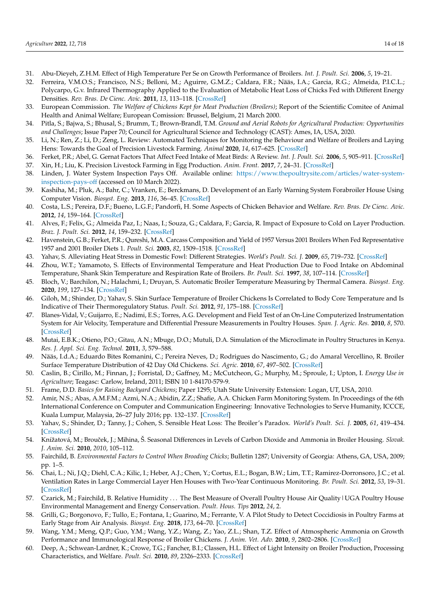- <span id="page-13-0"></span>31. Abu-Dieyeh, Z.H.M. Effect of High Temperature Per Se on Growth Performance of Broilers. *Int. J. Poult. Sci.* **2006**, *5*, 19–21.
- <span id="page-13-1"></span>32. Ferreira, V.M.O.S.; Francisco, N.S.; Belloni, M.; Aguirre, G.M.Z.; Caldara, F.R.; Nääs, I.A.; Garcia, R.G.; Almeida, P.I.C.L.; Polycarpo, G.v. Infrared Thermography Applied to the Evaluation of Metabolic Heat Loss of Chicks Fed with Different Energy Densities. *Rev. Bras. De Cienc. Avic.* **2011**, *13*, 113–118. [\[CrossRef\]](http://doi.org/10.1590/S1516-635X2011000200005)
- <span id="page-13-2"></span>33. European Commission. *The Welfare of Chickens Kept for Meat Production (Broilers)*; Report of the Scientific Comitee of Animal Health and Animal Welfare; European Comission: Brussel, Belgium, 21 March 2000.
- <span id="page-13-3"></span>34. Pitla, S.; Bajwa, S.; Bhusal, S.; Brumm, T.; Brown-Brandl, T.M. *Ground and Aerial Robots for Agricultural Production: Opportunities and Challenges*; Issue Paper 70; Council for Agricultural Science and Technology (CAST): Ames, IA, USA, 2020.
- <span id="page-13-4"></span>35. Li, N.; Ren, Z.; Li, D.; Zeng, L. Review: Automated Techniques for Monitoring the Behaviour and Welfare of Broilers and Laying Hens: Towards the Goal of Precision Livestock Farming. *Animal* **2020**, *14*, 617–625. [\[CrossRef\]](http://doi.org/10.1017/S1751731119002155)
- <span id="page-13-5"></span>36. Ferket, P.R.; Abel, G. Gernat Factors That Affect Feed Intake of Meat Birds: A Review. *Int. J. Poult. Sci.* **2006**, *5*, 905–911. [\[CrossRef\]](http://doi.org/10.3923/ijps.2006.905.911)
- <span id="page-13-6"></span>37. Xin, H.; Liu, K. Precision Livestock Farming in Egg Production. *Anim. Front.* **2017**, *7*, 24–31. [\[CrossRef\]](http://doi.org/10.2527/af.2017.0105)
- <span id="page-13-7"></span>38. Linden, J. Water System Inspection Pays Off. Available online: [https://www.thepoultrysite.com/articles/water-system](https://www.thepoultrysite.com/articles/water-system-inspection-pays-off)[inspection-pays-off](https://www.thepoultrysite.com/articles/water-system-inspection-pays-off) (accessed on 10 March 2022).
- <span id="page-13-8"></span>39. Kashiha, M.; Pluk, A.; Bahr, C.; Vranken, E.; Berckmans, D. Development of an Early Warning System Forabroiler House Using Computer Vision. *Biosyst. Eng.* **2013**, *116*, 36–45. [\[CrossRef\]](http://doi.org/10.1016/j.biosystemseng.2013.06.004)
- <span id="page-13-9"></span>40. Costa, L.S.; Pereira, D.F.; Bueno, L.G.F.; Pandorfi, H. Some Aspects of Chicken Behavior and Welfare. *Rev. Bras. De Cienc. Avic.* **2012**, *14*, 159–164. [\[CrossRef\]](http://doi.org/10.1590/S1516-635X2012000300001)
- <span id="page-13-10"></span>41. Alves, F.; Felix, G.; Almeida Paz, I.; Naas, I.; Souza, G.; Caldara, F.; Garcia, R. Impact of Exposure to Cold on Layer Production. *Braz. J. Poult. Sci.* **2012**, *14*, 159–232. [\[CrossRef\]](http://doi.org/10.1590/S1516-635X2012000300010)
- <span id="page-13-11"></span>42. Havenstein, G.B.; Ferket, P.R.; Qureshi, M.A. Carcass Composition and Yield of 1957 Versus 2001 Broilers When Fed Representative 1957 and 2001 Broiler Diets 1. *Poult. Sci.* **2003**, *82*, 1509–1518. [\[CrossRef\]](http://doi.org/10.1093/ps/82.10.1509)
- <span id="page-13-12"></span>43. Yahav, S. Alleviating Heat Stress in Domestic Fowl: Different Strategies. *World's Poult. Sci. J.* **2009**, *65*, 719–732. [\[CrossRef\]](http://doi.org/10.1017/S004393390900049X)
- <span id="page-13-13"></span>44. Zhou, W.T.; Yamamoto, S. Effects of Environmental Temperature and Heat Production Due to Food Intake on Abdominal Temperature, Shank Skin Temperature and Respiration Rate of Broilers. *Br. Poult. Sci.* **1997**, *38*, 107–114. [\[CrossRef\]](http://doi.org/10.1080/00071669708417949)
- <span id="page-13-14"></span>45. Bloch, V.; Barchilon, N.; Halachmi, I.; Druyan, S. Automatic Broiler Temperature Measuring by Thermal Camera. *Biosyst. Eng.* **2020**, *199*, 127–134. [\[CrossRef\]](http://doi.org/10.1016/j.biosystemseng.2019.08.011)
- <span id="page-13-15"></span>46. Giloh, M.; Shinder, D.; Yahav, S. Skin Surface Temperature of Broiler Chickens Is Correlated to Body Core Temperature and Is Indicative of Their Thermoregulatory Status. *Poult. Sci.* **2012**, *91*, 175–188. [\[CrossRef\]](http://doi.org/10.3382/ps.2011-01497)
- <span id="page-13-16"></span>47. Blanes-Vidal, V.; Guijarro, E.; Nadimi, E.S.; Torres, A.G. Development and Field Test of an On-Line Computerized Instrumentation System for Air Velocity, Temperature and Differential Pressure Measurements in Poultry Houses. *Span. J. Agric. Res.* **2010**, *8*, 570. [\[CrossRef\]](http://doi.org/10.5424/sjar/2010083-1252)
- <span id="page-13-17"></span>48. Mutai, E.B.K.; Otieno, P.O.; Gitau, A.N.; Mbuge, D.O.; Mutuli, D.A. Simulation of the Microclimate in Poultry Structures in Kenya. *Res. J. Appl. Sci. Eng. Technol.* **2011**, *3*, 579–588.
- <span id="page-13-18"></span>49. Nääs, I.d.A.; Eduardo Bites Romanini, C.; Pereira Neves, D.; Rodrigues do Nascimento, G.; do Amaral Vercellino, R. Broiler Surface Temperature Distribution of 42 Day Old Chickens. *Sci. Agric.* **2010**, *67*, 497–502. [\[CrossRef\]](http://doi.org/10.1590/S0103-90162010000500001)
- <span id="page-13-19"></span>50. Caslin, B.; Cirillo, M.; Finnan, J.; Forristal, D.; Gaffney, M.; McCutcheon, G.; Murphy, M.; Sproule, I.; Upton, I. *Energy Use in Agriculture*; Teagasc: Carlow, Ireland, 2011; ISBN 10 1-84170-579-9.
- <span id="page-13-20"></span>51. Frame, D.D. *Basics for Raising Backyard Chickens*; Paper 1295; Utah State University Extension: Logan, UT, USA, 2010.
- <span id="page-13-21"></span>52. Amir, N.S.; Abas, A.M.F.M.; Azmi, N.A.; Abidin, Z.Z.; Shafie, A.A. Chicken Farm Monitoring System. In Proceedings of the 6th International Conference on Computer and Communication Engineering: Innovative Technologies to Serve Humanity, ICCCE, Kuala Lumpur, Malaysia, 26–27 July 2016; pp. 132–137. [\[CrossRef\]](http://doi.org/10.1109/ICCCE.2016.39)
- <span id="page-13-22"></span>53. Yahav, S.; Shinder, D.; Tanny, J.; Cohen, S. Sensible Heat Loss: The Broiler's Paradox. *World's Poult. Sci. J.* **2005**, *61*, 419–434. [\[CrossRef\]](http://doi.org/10.1079/WPS200453)
- <span id="page-13-23"></span>54. Knížatová, M.; Brouˇcek, J.; Mihina, Š. Seasonal Differences in Levels of Carbon Dioxide and Ammonia in Broiler Housing. *Slovak. J. Anim. Sci.* **2010**, *2010*, 105–112.
- <span id="page-13-24"></span>55. Fairchild, B. *Environmental Factors to Control When Brooding Chicks*; Bulletin 1287; University of Georgia: Athens, GA, USA, 2009; pp. 1–5.
- <span id="page-13-25"></span>56. Chai, L.; Ni, J.Q.; Diehl, C.A.; Kilic, I.; Heber, A.J.; Chen, Y.; Cortus, E.L.; Bogan, B.W.; Lim, T.T.; Ramirez-Dorronsoro, J.C.; et al. Ventilation Rates in Large Commercial Layer Hen Houses with Two-Year Continuous Monitoring. *Br. Poult. Sci.* **2012**, *53*, 19–31. [\[CrossRef\]](http://doi.org/10.1080/00071668.2011.643766)
- <span id="page-13-26"></span>57. Czarick, M.; Fairchild, B. Relative Humidity ... The Best Measure of Overall Poultry House Air Quality | UGA Poultry House Environmental Management and Energy Conservation. *Poult. Hous. Tips* **2012**, *24*, 2.
- <span id="page-13-27"></span>58. Grilli, G.; Borgonovo, F.; Tullo, E.; Fontana, I.; Guarino, M.; Ferrante, V. A Pilot Study to Detect Coccidiosis in Poultry Farms at Early Stage from Air Analysis. *Biosyst. Eng.* **2018**, *173*, 64–70. [\[CrossRef\]](http://doi.org/10.1016/j.biosystemseng.2018.02.004)
- <span id="page-13-28"></span>59. Wang, Y.M.; Meng, Q.P.; Guo, Y.M.; Wang, Y.Z.; Wang, Z.; Yao, Z.L.; Shan, T.Z. Effect of Atmospheric Ammonia on Growth Performance and Immunological Response of Broiler Chickens. *J. Anim. Vet. Adv.* **2010**, *9*, 2802–2806. [\[CrossRef\]](http://doi.org/10.3923/javaa.2010.2802.2806)
- <span id="page-13-29"></span>60. Deep, A.; Schwean-Lardner, K.; Crowe, T.G.; Fancher, B.I.; Classen, H.L. Effect of Light Intensity on Broiler Production, Processing Characteristics, and Welfare. *Poult. Sci.* **2010**, *89*, 2326–2333. [\[CrossRef\]](http://doi.org/10.3382/ps.2010-00964)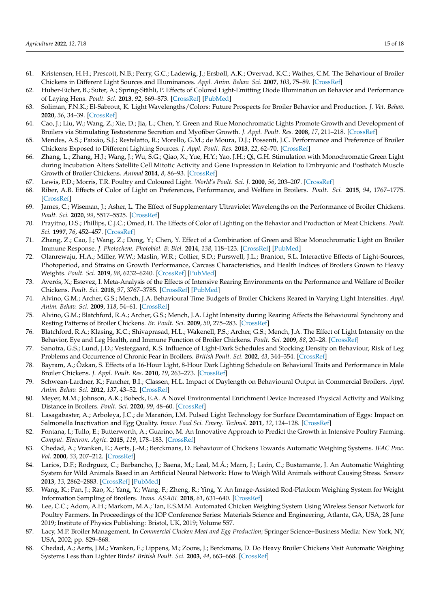- <span id="page-14-0"></span>61. Kristensen, H.H.; Prescott, N.B.; Perry, G.C.; Ladewig, J.; Ersbøll, A.K.; Overvad, K.C.; Wathes, C.M. The Behaviour of Broiler Chickens in Different Light Sources and Illuminances. *Appl. Anim. Behav. Sci.* **2007**, *103*, 75–89. [\[CrossRef\]](http://doi.org/10.1016/j.applanim.2006.04.017)
- <span id="page-14-1"></span>62. Huber-Eicher, B.; Suter, A.; Spring-Stähli, P. Effects of Colored Light-Emitting Diode Illumination on Behavior and Performance of Laying Hens. *Poult. Sci.* **2013**, *92*, 869–873. [\[CrossRef\]](http://doi.org/10.3382/ps.2012-02679) [\[PubMed\]](http://www.ncbi.nlm.nih.gov/pubmed/23472008)
- <span id="page-14-2"></span>63. Soliman, F.N.K.; El-Sabrout, K. Light Wavelengths/Colors: Future Prospects for Broiler Behavior and Production. *J. Vet. Behav.* **2020**, *36*, 34–39. [\[CrossRef\]](http://doi.org/10.1016/j.jveb.2019.10.014)
- <span id="page-14-3"></span>64. Cao, J.; Liu, W.; Wang, Z.; Xie, D.; Jia, L.; Chen, Y. Green and Blue Monochromatic Lights Promote Growth and Development of Broilers via Stimulating Testosterone Secretion and Myofiber Growth. *J. Appl. Poult. Res.* **2008**, *17*, 211–218. [\[CrossRef\]](http://doi.org/10.3382/japr.2007-00043)
- 65. Mendes, A.S.; Paixão, S.J.; Restelatto, R.; Morello, G.M.; de Moura, D.J.; Possenti, J.C. Performance and Preference of Broiler Chickens Exposed to Different Lighting Sources. *J. Appl. Poult. Res.* **2013**, *22*, 62–70. [\[CrossRef\]](http://doi.org/10.3382/japr.2012-00580)
- <span id="page-14-4"></span>66. Zhang, L.; Zhang, H.J.; Wang, J.; Wu, S.G.; Qiao, X.; Yue, H.Y.; Yao, J.H.; Qi, G.H. Stimulation with Monochromatic Green Light during Incubation Alters Satellite Cell Mitotic Activity and Gene Expression in Relation to Embryonic and Posthatch Muscle Growth of Broiler Chickens. *Animal* **2014**, *8*, 86–93. [\[CrossRef\]](http://doi.org/10.1017/S1751731113001882)
- <span id="page-14-5"></span>67. Lewis, P.D.; Morris, T.R. Poultry and Coloured Light. *World's Poult. Sci. J.* **2000**, *56*, 203–207. [\[CrossRef\]](http://doi.org/10.1079/WPS20000015)
- <span id="page-14-6"></span>68. Riber, A.B. Effects of Color of Light on Preferences, Performance, and Welfare in Broilers. *Poult. Sci.* **2015**, *94*, 1767–1775. [\[CrossRef\]](http://doi.org/10.3382/ps/pev174)
- <span id="page-14-7"></span>69. James, C.; Wiseman, J.; Asher, L. The Effect of Supplementary Ultraviolet Wavelengths on the Performance of Broiler Chickens. *Poult. Sci.* **2020**, *99*, 5517–5525. [\[CrossRef\]](http://doi.org/10.1016/j.psj.2020.07.018)
- <span id="page-14-8"></span>70. Prayitno, D.S.; Phillips, C.J.C.; Omed, H. The Effects of Color of Lighting on the Behavior and Production of Meat Chickens. *Poult. Sci.* **1997**, *76*, 452–457. [\[CrossRef\]](http://doi.org/10.1093/ps/76.3.452)
- <span id="page-14-9"></span>71. Zhang, Z.; Cao, J.; Wang, Z.; Dong, Y.; Chen, Y. Effect of a Combination of Green and Blue Monochromatic Light on Broiler Immune Response. *J. Photochem. Photobiol. B: Biol.* **2014**, *138*, 118–123. [\[CrossRef\]](http://doi.org/10.1016/j.jphotobiol.2014.05.014) [\[PubMed\]](http://www.ncbi.nlm.nih.gov/pubmed/24927232)
- <span id="page-14-10"></span>72. Olanrewaju, H.A.; Miller, W.W.; Maslin, W.R.; Collier, S.D.; Purswell, J.L.; Branton, S.L. Interactive Effects of Light-Sources, Photoperiod, and Strains on Growth Performance, Carcass Characteristics, and Health Indices of Broilers Grown to Heavy Weights. *Poult. Sci.* **2019**, *98*, 6232–6240. [\[CrossRef\]](http://doi.org/10.3382/ps/pez476) [\[PubMed\]](http://www.ncbi.nlm.nih.gov/pubmed/31420665)
- <span id="page-14-11"></span>73. Averós, X.; Estevez, I. Meta-Analysis of the Effects of Intensive Rearing Environments on the Performance and Welfare of Broiler Chickens. *Poult. Sci.* **2018**, *97*, 3767–3785. [\[CrossRef\]](http://doi.org/10.3382/ps/pey243) [\[PubMed\]](http://www.ncbi.nlm.nih.gov/pubmed/29924356)
- <span id="page-14-12"></span>74. Alvino, G.M.; Archer, G.S.; Mench, J.A. Behavioural Time Budgets of Broiler Chickens Reared in Varying Light Intensities. *Appl. Anim. Behav. Sci.* **2009**, *118*, 54–61. [\[CrossRef\]](http://doi.org/10.1016/j.applanim.2009.02.003)
- <span id="page-14-13"></span>75. Alvino, G.M.; Blatchford, R.A.; Archer, G.S.; Mench, J.A. Light Intensity during Rearing Affects the Behavioural Synchrony and Resting Patterns of Broiler Chickens. *Br. Poult. Sci.* **2009**, *50*, 275–283. [\[CrossRef\]](http://doi.org/10.1080/00071660902942775)
- <span id="page-14-14"></span>76. Blatchford, R.A.; Klasing, K.C.; Shivaprasad, H.L.; Wakenell, P.S.; Archer, G.S.; Mench, J.A. The Effect of Light Intensity on the Behavior, Eye and Leg Health, and Immune Function of Broiler Chickens. *Poult. Sci.* **2009**, *88*, 20–28. [\[CrossRef\]](http://doi.org/10.3382/ps.2008-00177)
- <span id="page-14-15"></span>77. Sanotra, G.S.; Lund, J.D.; Vestergaard, K.S. Influence of Light-Dark Schedules and Stocking Density on Behaviour, Risk of Leg Problems and Occurrence of Chronic Fear in Broilers. *British Poult. Sci.* **2002**, *43*, 344–354. [\[CrossRef\]](http://doi.org/10.1080/000716601201036023611)
- <span id="page-14-16"></span>78. Bayram, A.; Özkan, S. Effects of a 16-Hour Light, 8-Hour Dark Lighting Schedule on Behavioral Traits and Performance in Male Broiler Chickens. *J. Appl. Poult. Res.* **2010**, *19*, 263–273. [\[CrossRef\]](http://doi.org/10.3382/japr.2009-00026)
- <span id="page-14-17"></span>79. Schwean-Lardner, K.; Fancher, B.I.; Classen, H.L. Impact of Daylength on Behavioural Output in Commercial Broilers. *Appl. Anim. Behav. Sci.* **2012**, *137*, 43–52. [\[CrossRef\]](http://doi.org/10.1016/j.applanim.2012.01.015)
- <span id="page-14-18"></span>80. Meyer, M.M.; Johnson, A.K.; Bobeck, E.A. A Novel Environmental Enrichment Device Increased Physical Activity and Walking Distance in Broilers. *Poult. Sci.* **2020**, *99*, 48–60. [\[CrossRef\]](http://doi.org/10.3382/ps/pez581)
- <span id="page-14-19"></span>81. Lasagabaster, A.; Arboleya, J.C.; de Marañón, I.M. Pulsed Light Technology for Surface Decontamination of Eggs: Impact on Salmonella Inactivation and Egg Quality. *Innov. Food Sci. Emerg. Technol.* **2011**, *12*, 124–128. [\[CrossRef\]](http://doi.org/10.1016/j.ifset.2011.01.007)
- <span id="page-14-20"></span>82. Fontana, I.; Tullo, E.; Butterworth, A.; Guarino, M. An Innovative Approach to Predict the Growth in Intensive Poultry Farming. *Comput. Electron. Agric.* **2015**, *119*, 178–183. [\[CrossRef\]](http://doi.org/10.1016/j.compag.2015.10.001)
- <span id="page-14-21"></span>83. Chedad, A.; Vranken, E.; Aerts, J.-M.; Berckmans, D. Behaviour of Chickens Towards Automatic Weighing Systems. *IFAC Proc. Vol.* **2000**, *33*, 207–212. [\[CrossRef\]](http://doi.org/10.1016/S1474-6670(17)36778-2)
- <span id="page-14-22"></span>84. Larios, D.F.; Rodrguez, C.; Barbancho, J.; Baena, M.; Leal, M.Á.; Marn, J.; León, C.; Bustamante, J. An Automatic Weighting System for Wild Animals Based in an Artificial Neural Network: How to Weigh Wild Animals without Causing Stress. *Sensors* **2013**, *13*, 2862–2883. [\[CrossRef\]](http://doi.org/10.3390/s130302862) [\[PubMed\]](http://www.ncbi.nlm.nih.gov/pubmed/23449117)
- <span id="page-14-23"></span>85. Wang, K.; Pan, J.; Rao, X.; Yang, Y.; Wang, F.; Zheng, R.; Ying, Y. An Image-Assisted Rod-Platform Weighing System for Weight Information Sampling of Broilers. *Trans. ASABE* **2018**, *61*, 631–640. [\[CrossRef\]](http://doi.org/10.13031/trans.12312)
- <span id="page-14-24"></span>86. Lee, C.C.; Adom, A.H.; Markom, M.A.; Tan, E.S.M.M. Automated Chicken Weighing System Using Wireless Sensor Network for Poultry Farmers. In Proceedings of the IOP Conference Series: Materials Science and Engineering, Atlanta, GA, USA, 28 June 2019; Institute of Physics Publishing: Bristol, UK, 2019; Volume 557.
- <span id="page-14-25"></span>87. Lacy, M.P. Broiler Management. In *Commercial Chicken Meat and Egg Production*; Springer Science+Business Media: New York, NY, USA, 2002; pp. 829–868.
- <span id="page-14-26"></span>88. Chedad, A.; Aerts, J.M.; Vranken, E.; Lippens, M.; Zoons, J.; Berckmans, D. Do Heavy Broiler Chickens Visit Automatic Weighing Systems Less than Lighter Birds? *British Poult. Sci.* **2003**, *44*, 663–668. [\[CrossRef\]](http://doi.org/10.1080/00071660310001643633)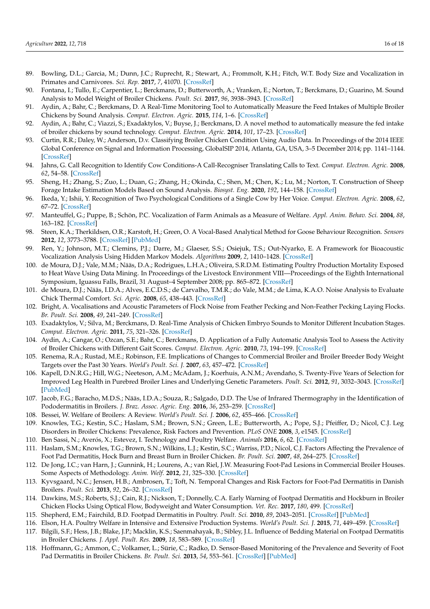- <span id="page-15-0"></span>89. Bowling, D.L.; Garcia, M.; Dunn, J.C.; Ruprecht, R.; Stewart, A.; Frommolt, K.H.; Fitch, W.T. Body Size and Vocalization in Primates and Carnivores. *Sci. Rep.* **2017**, *7*, 41070. [\[CrossRef\]](http://doi.org/10.1038/srep41070)
- <span id="page-15-1"></span>90. Fontana, I.; Tullo, E.; Carpentier, L.; Berckmans, D.; Butterworth, A.; Vranken, E.; Norton, T.; Berckmans, D.; Guarino, M. Sound Analysis to Model Weight of Broiler Chickens. *Poult. Sci.* **2017**, *96*, 3938–3943. [\[CrossRef\]](http://doi.org/10.3382/ps/pex215)
- <span id="page-15-2"></span>91. Aydin, A.; Bahr, C.; Berckmans, D. A Real-Time Monitoring Tool to Automatically Measure the Feed Intakes of Multiple Broiler Chickens by Sound Analysis. *Comput. Electron. Agric.* **2015**, *114*, 1–6. [\[CrossRef\]](http://doi.org/10.1016/j.compag.2015.03.010)
- <span id="page-15-3"></span>92. Aydin, A.; Bahr, C.; Viazzi, S.; Exadaktylos, V.; Buyse, J.; Berckmans, D. A novel method to automatically measure the fed intake of broiler chickens by sound technology. *Comput. Electron. Agric.* **2014**, *101*, 17–23. [\[CrossRef\]](http://doi.org/10.1016/j.compag.2013.11.012)
- <span id="page-15-4"></span>93. Curtin, R.R.; Daley, W.; Anderson, D.v. Classifying Broiler Chicken Condition Using Audio Data. In Proceedings of the 2014 IEEE Global Conference on Signal and Information Processing, GlobalSIP 2014, Atlanta, GA, USA, 3–5 December 2014; pp. 1141–1144. [\[CrossRef\]](http://doi.org/10.1109/GlobalSIP.2014.7032300)
- <span id="page-15-5"></span>94. Jahns, G. Call Recognition to Identify Cow Conditions-A Call-Recogniser Translating Calls to Text. *Comput. Electron. Agric.* **2008**, *62*, 54–58. [\[CrossRef\]](http://doi.org/10.1016/j.compag.2007.09.005)
- <span id="page-15-6"></span>95. Sheng, H.; Zhang, S.; Zuo, L.; Duan, G.; Zhang, H.; Okinda, C.; Shen, M.; Chen, K.; Lu, M.; Norton, T. Construction of Sheep Forage Intake Estimation Models Based on Sound Analysis. *Biosyst. Eng.* **2020**, *192*, 144–158. [\[CrossRef\]](http://doi.org/10.1016/j.biosystemseng.2020.01.024)
- <span id="page-15-7"></span>96. Ikeda, Y.; Ishii, Y. Recognition of Two Psychological Conditions of a Single Cow by Her Voice. *Comput. Electron. Agric.* **2008**, *62*, 67–72. [\[CrossRef\]](http://doi.org/10.1016/j.compag.2007.08.012)
- <span id="page-15-8"></span>97. Manteuffel, G.; Puppe, B.; Schön, P.C. Vocalization of Farm Animals as a Measure of Welfare. *Appl. Anim. Behav. Sci.* **2004**, *88*, 163–182. [\[CrossRef\]](http://doi.org/10.1016/j.applanim.2004.02.012)
- <span id="page-15-9"></span>98. Steen, K.A.; Therkildsen, O.R.; Karstoft, H.; Green, O. A Vocal-Based Analytical Method for Goose Behaviour Recognition. *Sensors* **2012**, *12*, 3773–3788. [\[CrossRef\]](http://doi.org/10.3390/s120303773) [\[PubMed\]](http://www.ncbi.nlm.nih.gov/pubmed/22737037)
- <span id="page-15-10"></span>99. Ren, Y.; Johnson, M.T.; Clemins, P.J.; Darre, M.; Glaeser, S.S.; Osiejuk, T.S.; Out-Nyarko, E. A Framework for Bioacoustic Vocalization Analysis Using Hidden Markov Models. *Algorithms* **2009**, *2*, 1410–1428. [\[CrossRef\]](http://doi.org/10.3390/a2041410)
- <span id="page-15-11"></span>100. de Moura, D.J.; Vale, M.M.; Nääs, D.A.; Rodrigues, L.H.A.; Oliveira, S.R.D.M. Estimating Poultry Production Mortality Exposed to Heat Wave Using Data Mining. In Proceedings of the Livestock Environment VIII—Proceedings of the Eighth International Symposium, Iguassu Falls, Brazil, 31 August–4 September 2008; pp. 865–872. [\[CrossRef\]](http://doi.org/10.13031/2013.25596)
- <span id="page-15-12"></span>101. de Moura, D.J.; Nääs, I.D.A.; Alves, E.C.D.S.; de Carvalho, T.M.R.; do Vale, M.M.; de Lima, K.A.O. Noise Analysis to Evaluate Chick Thermal Comfort. *Sci. Agric.* **2008**, *65*, 438–443. [\[CrossRef\]](http://doi.org/10.1590/S0103-90162008000400018)
- <span id="page-15-13"></span>102. Bright, A. Vocalisations and Acoustic Parameters of Flock Noise from Feather Pecking and Non-Feather Pecking Laying Flocks. *Br. Poult. Sci.* **2008**, *49*, 241–249. [\[CrossRef\]](http://doi.org/10.1080/00071660802094172)
- <span id="page-15-14"></span>103. Exadaktylos, V.; Silva, M.; Berckmans, D. Real-Time Analysis of Chicken Embryo Sounds to Monitor Different Incubation Stages. *Comput. Electron. Agric.* **2011**, *75*, 321–326. [\[CrossRef\]](http://doi.org/10.1016/j.compag.2010.12.008)
- <span id="page-15-15"></span>104. Aydin, A.; Cangar, O.; Ozcan, S.E.; Bahr, C.; Berckmans, D. Application of a Fully Automatic Analysis Tool to Assess the Activity of Broiler Chickens with Different Gait Scores. *Comput. Electron. Agric.* **2010**, *73*, 194–199. [\[CrossRef\]](http://doi.org/10.1016/j.compag.2010.05.004)
- <span id="page-15-16"></span>105. Renema, R.A.; Rustad, M.E.; Robinson, F.E. Implications of Changes to Commercial Broiler and Broiler Breeder Body Weight Targets over the Past 30 Years. *World's Poult. Sci. J.* **2007**, *63*, 457–472. [\[CrossRef\]](http://doi.org/10.1017/S0043933907001572)
- <span id="page-15-17"></span>106. Kapell, D.N.R.G.; Hill, W.G.; Neeteson, A.M.; McAdam, J.; Koerhuis, A.N.M.; Avendaño, S. Twenty-Five Years of Selection for Improved Leg Health in Purebred Broiler Lines and Underlying Genetic Parameters. *Poult. Sci.* **2012**, *91*, 3032–3043. [\[CrossRef\]](http://doi.org/10.3382/ps.2012-02578) [\[PubMed\]](http://www.ncbi.nlm.nih.gov/pubmed/23155010)
- <span id="page-15-18"></span>107. Jacob, F.G.; Baracho, M.D.S.; Nääs, I.D.A.; Souza, R.; Salgado, D.D. The Use of Infrared Thermography in the Identification of Pododermatitis in Broilers. *J. Braz. Assoc. Agric. Eng.* **2016**, *36*, 253–259. [\[CrossRef\]](http://doi.org/10.1590/1809-4430-Eng.Agric.v36n2p253-259/2016)
- <span id="page-15-19"></span>108. Bessei, W. Welfare of Broilers: A Review. *World's Poult. Sci. J.* **2006**, *62*, 455–466. [\[CrossRef\]](http://doi.org/10.1079/WPS2005108)
- 109. Knowles, T.G.; Kestin, S.C.; Haslam, S.M.; Brown, S.N.; Green, L.E.; Butterworth, A.; Pope, S.J.; Pfeiffer, D.; Nicol, C.J. Leg Disorders in Broiler Chickens: Prevalence, Risk Factors and Prevention. *PLoS ONE* **2008**, *3*, e1545. [\[CrossRef\]](http://doi.org/10.1371/journal.pone.0001545)
- <span id="page-15-20"></span>110. Ben Sassi, N.; Averós, X.; Estevez, I. Technology and Poultry Welfare. *Animals* **2016**, *6*, 62. [\[CrossRef\]](http://doi.org/10.3390/ani6100062)
- <span id="page-15-21"></span>111. Haslam, S.M.; Knowles, T.G.; Brown, S.N.; Wilkins, L.J.; Kestin, S.C.; Warriss, P.D.; Nicol, C.J. Factors Affecting the Prevalence of Foot Pad Dermatitis, Hock Burn and Breast Burn in Broiler Chicken. *Br. Poult. Sci.* **2007**, *48*, 264–275. [\[CrossRef\]](http://doi.org/10.1080/00071660701371341)
- 112. De Jong, I.C.; van Harn, J.; Gunnink, H.; Lourens, A.; van Riel, J.W. Measuring Foot-Pad Lesions in Commercial Broiler Houses. Some Aspects of Methodology. *Anim. Welf.* **2012**, *21*, 325–330. [\[CrossRef\]](http://doi.org/10.7120/09627286.21.3.325)
- 113. Kyvsgaard, N.C.; Jensen, H.B.; Ambrosen, T.; Toft, N. Temporal Changes and Risk Factors for Foot-Pad Dermatitis in Danish Broilers. *Poult. Sci.* **2013**, *92*, 26–32. [\[CrossRef\]](http://doi.org/10.3382/ps.2012-02433)
- <span id="page-15-22"></span>114. Dawkins, M.S.; Roberts, S.J.; Cain, R.J.; Nickson, T.; Donnelly, C.A. Early Warning of Footpad Dermatitis and Hockburn in Broiler Chicken Flocks Using Optical Flow, Bodyweight and Water Consumption. *Vet. Rec.* **2017**, *180*, 499. [\[CrossRef\]](http://doi.org/10.1136/vr.104066)
- <span id="page-15-23"></span>115. Shepherd, E.M.; Fairchild, B.D. Footpad Dermatitis in Poultry. *Poult. Sci.* **2010**, *89*, 2043–2051. [\[CrossRef\]](http://doi.org/10.3382/ps.2010-00770) [\[PubMed\]](http://www.ncbi.nlm.nih.gov/pubmed/20852093)
- <span id="page-15-24"></span>116. Elson, H.A. Poultry Welfare in Intensive and Extensive Production Systems. *World's Poult. Sci. J.* **2015**, *71*, 449–459. [\[CrossRef\]](http://doi.org/10.1017/S0043933915002172)
- <span id="page-15-25"></span>117. Bilgili, S.F.; Hess, J.B.; Blake, J.P.; Macklin, K.S.; Saenmahayak, B.; Sibley, J.L. Influence of Bedding Material on Footpad Dermatitis in Broiler Chickens. *J. Appl. Poult. Res.* **2009**, *18*, 583–589. [\[CrossRef\]](http://doi.org/10.3382/japr.2009-00023)
- <span id="page-15-26"></span>118. Hoffmann, G.; Ammon, C.; Volkamer, L.; Sürie, C.; Radko, D. Sensor-Based Monitoring of the Prevalence and Severity of Foot Pad Dermatitis in Broiler Chickens. *Br. Poult. Sci.* **2013**, *54*, 553–561. [\[CrossRef\]](http://doi.org/10.1080/00071668.2013.830174) [\[PubMed\]](http://www.ncbi.nlm.nih.gov/pubmed/24066948)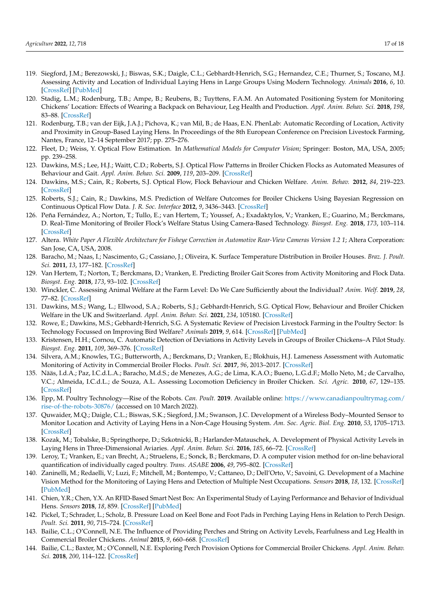- <span id="page-16-0"></span>119. Siegford, J.M.; Berezowski, J.; Biswas, S.K.; Daigle, C.L.; Gebhardt-Henrich, S.G.; Hernandez, C.E.; Thurner, S.; Toscano, M.J. Assessing Activity and Location of Individual Laying Hens in Large Groups Using Modern Technology. *Animals* **2016**, *6*, 10. [\[CrossRef\]](http://doi.org/10.3390/ani6020010) [\[PubMed\]](http://www.ncbi.nlm.nih.gov/pubmed/26848693)
- <span id="page-16-1"></span>120. Stadig, L.M.; Rodenburg, T.B.; Ampe, B.; Reubens, B.; Tuyttens, F.A.M. An Automated Positioning System for Monitoring Chickens' Location: Effects of Wearing a Backpack on Behaviour, Leg Health and Production. *Appl. Anim. Behav. Sci.* **2018**, *198*, 83–88. [\[CrossRef\]](http://doi.org/10.1016/j.applanim.2017.09.016)
- <span id="page-16-2"></span>121. Rodenburg, T.B.; van der Eijk, J.A.J.; Pichova, K.; van Mil, B.; de Haas, E.N. PhenLab: Automatic Recording of Location, Activity and Proximity in Group-Based Laying Hens. In Proceedings of the 8th European Conference on Precision Livestock Farming, Nantes, France, 12–14 September 2017; pp. 275–276.
- <span id="page-16-3"></span>122. Fleet, D.; Weiss, Y. Optical Flow Estimation. In *Mathematical Models for Computer Vision*; Springer: Boston, MA, USA, 2005; pp. 239–258.
- <span id="page-16-4"></span>123. Dawkins, M.S.; Lee, H.J.; Waitt, C.D.; Roberts, S.J. Optical Flow Patterns in Broiler Chicken Flocks as Automated Measures of Behaviour and Gait. *Appl. Anim. Behav. Sci.* **2009**, *119*, 203–209. [\[CrossRef\]](http://doi.org/10.1016/j.applanim.2009.04.009)
- <span id="page-16-5"></span>124. Dawkins, M.S.; Cain, R.; Roberts, S.J. Optical Flow, Flock Behaviour and Chicken Welfare. *Anim. Behav.* **2012**, *84*, 219–223. [\[CrossRef\]](http://doi.org/10.1016/j.anbehav.2012.04.036)
- <span id="page-16-6"></span>125. Roberts, S.J.; Cain, R.; Dawkins, M.S. Prediction of Welfare Outcomes for Broiler Chickens Using Bayesian Regression on Continuous Optical Flow Data. *J. R. Soc. Interface* **2012**, *9*, 3436–3443. [\[CrossRef\]](http://doi.org/10.1098/rsif.2012.0594)
- <span id="page-16-7"></span>126. Peña Fernández, A.; Norton, T.; Tullo, E.; van Hertem, T.; Youssef, A.; Exadaktylos, V.; Vranken, E.; Guarino, M.; Berckmans, D. Real-Time Monitoring of Broiler Flock's Welfare Status Using Camera-Based Technology. *Biosyst. Eng.* **2018**, *173*, 103–114. [\[CrossRef\]](http://doi.org/10.1016/j.biosystemseng.2018.05.008)
- <span id="page-16-8"></span>127. Altera. *White Paper A Flexible Architecture for Fisheye Correction in Automotive Rear-View Cameras Version 1.2 1*; Altera Corporation: San Jose, CA, USA, 2008.
- <span id="page-16-9"></span>128. Baracho, M.; Naas, I.; Nascimento, G.; Cassiano, J.; Oliveira, K. Surface Temperature Distribution in Broiler Houses. *Braz. J. Poult. Sci.* **2011**, *13*, 177–182. [\[CrossRef\]](http://doi.org/10.1590/S1516-635X2011000300003)
- 129. Van Hertem, T.; Norton, T.; Berckmans, D.; Vranken, E. Predicting Broiler Gait Scores from Activity Monitoring and Flock Data. *Biosyst. Eng.* **2018**, *173*, 93–102. [\[CrossRef\]](http://doi.org/10.1016/j.biosystemseng.2018.07.002)
- 130. Winckler, C. Assessing Animal Welfare at the Farm Level: Do We Care Sufficiently about the Individual? *Anim. Welf.* **2019**, *28*, 77–82. [\[CrossRef\]](http://doi.org/10.7120/09627286.28.1.077)
- 131. Dawkins, M.S.; Wang, L.; Ellwood, S.A.; Roberts, S.J.; Gebhardt-Henrich, S.G. Optical Flow, Behaviour and Broiler Chicken Welfare in the UK and Switzerland. *Appl. Anim. Behav. Sci.* **2021**, *234*, 105180. [\[CrossRef\]](http://doi.org/10.1016/j.applanim.2020.105180)
- <span id="page-16-10"></span>132. Rowe, E.; Dawkins, M.S.; Gebhardt-Henrich, S.G. A Systematic Review of Precision Livestock Farming in the Poultry Sector: Is Technology Focussed on Improving Bird Welfare? *Animals* **2019**, *9*, 614. [\[CrossRef\]](http://doi.org/10.3390/ani9090614) [\[PubMed\]](http://www.ncbi.nlm.nih.gov/pubmed/31461984)
- <span id="page-16-11"></span>133. Kristensen, H.H.; Cornou, C. Automatic Detection of Deviations in Activity Levels in Groups of Broiler Chickens–A Pilot Study. *Biosyst. Eng.* **2011**, *109*, 369–376. [\[CrossRef\]](http://doi.org/10.1016/j.biosystemseng.2011.05.002)
- <span id="page-16-12"></span>134. Silvera, A.M.; Knowles, T.G.; Butterworth, A.; Berckmans, D.; Vranken, E.; Blokhuis, H.J. Lameness Assessment with Automatic Monitoring of Activity in Commercial Broiler Flocks. *Poult. Sci.* **2017**, *96*, 2013–2017. [\[CrossRef\]](http://doi.org/10.3382/ps/pex023)
- <span id="page-16-13"></span>135. Nääs, I.d.A.; Paz, I.C.d.L.A.; Baracho, M.d.S.; de Menezes, A.G.; de Lima, K.A.O.; Bueno, L.G.d.F.; Mollo Neto, M.; de Carvalho, V.C.; Almeida, I.C.d.L.; de Souza, A.L. Assessing Locomotion Deficiency in Broiler Chicken. *Sci. Agric.* **2010**, *67*, 129–135. [\[CrossRef\]](http://doi.org/10.1590/S0103-90162010000200001)
- <span id="page-16-14"></span>136. Epp, M. Poultry Technology—Rise of the Robots. *Can. Poult.* **2019**. Available online: [https://www.canadianpoultrymag.com/](https://www.canadianpoultrymag.com/rise-of-the-robots-30876/) [rise-of-the-robots-30876/](https://www.canadianpoultrymag.com/rise-of-the-robots-30876/) (accessed on 10 March 2022).
- <span id="page-16-15"></span>137. Quwaider, M.Q.; Daigle, C.L.; Biswas, S.K.; Siegford, J.M.; Swanson, J.C. Development of a Wireless Body–Mounted Sensor to Monitor Location and Activity of Laying Hens in a Non-Cage Housing System. *Am. Soc. Agric. Biol. Eng.* **2010**, *53*, 1705–1713. [\[CrossRef\]](http://doi.org/10.13031/2013.34890)
- <span id="page-16-16"></span>138. Kozak, M.; Tobalske, B.; Springthorpe, D.; Szkotnicki, B.; Harlander-Matauschek, A. Development of Physical Activity Levels in Laying Hens in Three-Dimensional Aviaries. *Appl. Anim. Behav. Sci.* **2016**, *185*, 66–72. [\[CrossRef\]](http://doi.org/10.1016/j.applanim.2016.10.004)
- <span id="page-16-17"></span>139. Leroy, T.; Vranken, E.; van Brecht, A.; Struelens, E.; Sonck, B.; Berckmans, D. A computer vision method for on-line behavioral quantification of individually caged poultry. *Trans. ASABE* **2006**, *49*, 795–802. [\[CrossRef\]](http://doi.org/10.13031/2013.20462)
- <span id="page-16-18"></span>140. Zaninelli, M.; Redaelli, V.; Luzi, F.; Mitchell, M.; Bontempo, V.; Cattaneo, D.; Dell'Orto, V.; Savoini, G. Development of a Machine Vision Method for the Monitoring of Laying Hens and Detection of Multiple Nest Occupations. *Sensors* **2018**, *18*, 132. [\[CrossRef\]](http://doi.org/10.3390/s18010132) [\[PubMed\]](http://www.ncbi.nlm.nih.gov/pubmed/29303981)
- <span id="page-16-19"></span>141. Chien, Y.R.; Chen, Y.X. An RFID-Based Smart Nest Box: An Experimental Study of Laying Performance and Behavior of Individual Hens. *Sensors* **2018**, *18*, 859. [\[CrossRef\]](http://doi.org/10.3390/s18030859) [\[PubMed\]](http://www.ncbi.nlm.nih.gov/pubmed/29538334)
- <span id="page-16-20"></span>142. Pickel, T.; Schrader, L.; Scholz, B. Pressure Load on Keel Bone and Foot Pads in Perching Laying Hens in Relation to Perch Design. *Poult. Sci.* **2011**, *90*, 715–724. [\[CrossRef\]](http://doi.org/10.3382/ps.2010-01025)
- <span id="page-16-21"></span>143. Bailie, C.L.; O'Connell, N.E. The Influence of Providing Perches and String on Activity Levels, Fearfulness and Leg Health in Commercial Broiler Chickens. *Animal* **2015**, *9*, 660–668. [\[CrossRef\]](http://doi.org/10.1017/S1751731114002821)
- <span id="page-16-22"></span>144. Bailie, C.L.; Baxter, M.; O'Connell, N.E. Exploring Perch Provision Options for Commercial Broiler Chickens. *Appl. Anim. Behav. Sci.* **2018**, *200*, 114–122. [\[CrossRef\]](http://doi.org/10.1016/j.applanim.2017.12.007)